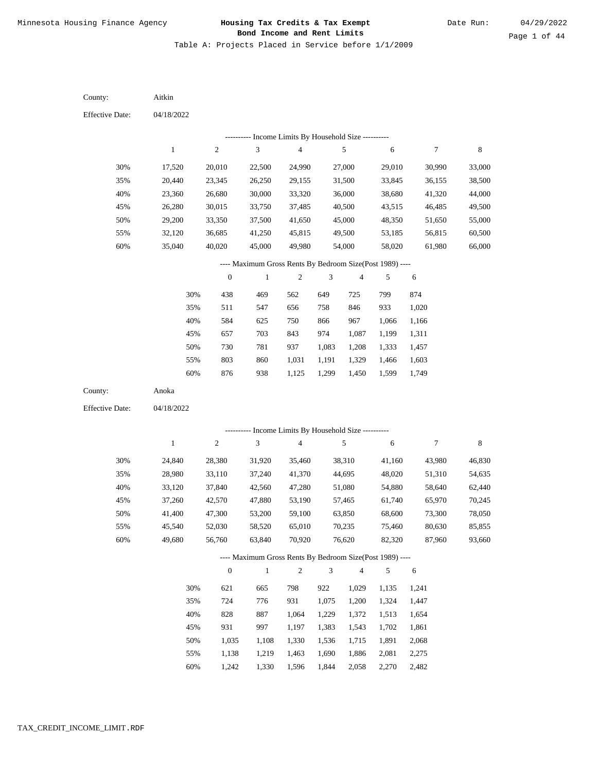Table A: Projects Placed in Service before 1/1/2009

04/18/2022 04/18/2022 Aitkin Anoka 30% 35% 40% 45% 50% 55% 60% 30% 35% 40% 45% 50% 55% 60% 17,520 20,440 23,360 26,280 29,200 32,120 35,040 24,840 28,980 33,120 37,260 41,400 45,540 49,680 20,010 23,345 26,680 30,015 33,350 36,685 40,020 28,380 33,110 37,840 42,570 47,300 52,030 56,760 22,500 26,250 30,000 33,750 37,500 41,250 45,000 31,920 37,240 42,560 47,880 53,200 58,520 63,840 24,990 29,155 33,320 37,485 41,650 45,815 49,980 35,460 41,370 47,280 53,190 59,100 65,010 70,920 27,000 31,500 36,000 40,500 45,000 49,500 54,000 38,310 44,695 51,080 57,465 63,850 70,235 76,620 29,010 33,845 38,680 43,515 48,350 53,185 58,020 41,160 48,020 54,880 61,740 68,600 75,460 82,320 30,990 36,155 41,320 46,485 51,650 56,815 61,980 43,980 51,310 58,640 65,970 73,300 80,630 87,960 33,000 38,500 44,000 49,500 55,000 60,500 66,000 46,830 54,635 62,440 70,245 78,050 85,855 93,660 438 511 584 657 730 803 876 621 724 828 931 1,035 1,138 1,242 469 547 625 703 781 860 938 665 776 887 997 1,108 1,219 1,330 562 656 750 843 937 1,031 1,125 798 931 1,064 1,197 1,330 1,463 1,596 649 758 866 974 1,083 1,191 1,299 922 1,075 1,229 1,383 1,536 1,690 1,844 725 846 967 1,087 1,208 1,329 1,450 1,029 1,200 1,372 1,543 1,715 1,886 2,058 799 933 1,066 1,199 1,333 1,466 1,599 1,135 1,324 1,513 1,702 1,891 2,081 2,270 874 1,020 1,166 1,311 1,457 1,603 1,749 1,241 1,447 1,654 1,861 2,068 2,275 2,482 County: County: Effective Date: Effective Date: 1 1 2 2 3 3 4 4 5 5 6 6 7 7 8 8 0 0 1 1 2 2 3 3 4 4 5 5 6 6 ---------- Income Limits By Household Size ---------- ---------- Income Limits By Household Size ---------- ---- Maximum Gross Rents By Bedroom Size(Post 1989) ---- ---- Maximum Gross Rents By Bedroom Size(Post 1989) ---- 30% 35% 40% 45% 50% 55% 60% 30% 35% 40% 45% 50% 55% 60%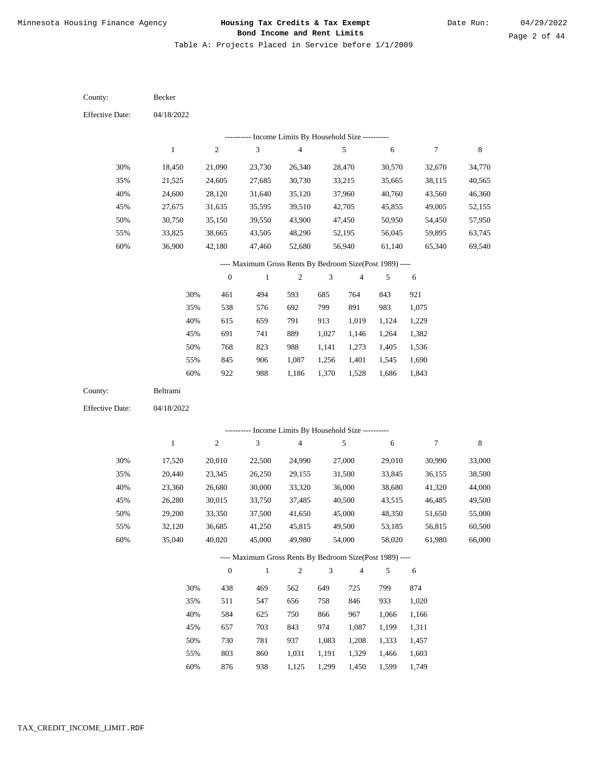Table A: Projects Placed in Service before 1/1/2009

| County:                | Becker       |                  |                                                          |                         |                |                |        |                  |         |
|------------------------|--------------|------------------|----------------------------------------------------------|-------------------------|----------------|----------------|--------|------------------|---------|
| <b>Effective Date:</b> | 04/18/2022   |                  |                                                          |                         |                |                |        |                  |         |
|                        |              |                  | --------- Income Limits By Household Size ----------     |                         |                |                |        |                  |         |
|                        | $\mathbf{1}$ | $\boldsymbol{2}$ | 3                                                        | $\overline{\mathbf{4}}$ |                | 5              | 6      | $\boldsymbol{7}$ | $\,8\,$ |
| 30%                    | 18,450       | 21,090           | 23,730                                                   | 26,340                  |                | 28,470         | 30,570 | 32,670           | 34,770  |
| 35%                    | 21,525       | 24,605           | 27,685                                                   | 30,730                  |                | 33,215         | 35,665 | 38,115           | 40,565  |
| 40%                    | 24,600       | 28,120           | 31,640                                                   | 35,120                  |                | 37,960         | 40,760 | 43,560           | 46,360  |
| 45%                    | 27,675       | 31,635           | 35,595                                                   | 39,510                  |                | 42,705         | 45,855 | 49,005           | 52,155  |
| 50%                    | 30,750       | 35,150           | 39,550                                                   | 43,900                  |                | 47,450         | 50,950 | 54,450           | 57,950  |
| 55%                    | 33,825       | 38,665           | 43,505                                                   | 48,290                  |                | 52,195         | 56,045 | 59,895           | 63,745  |
| 60%                    | 36,900       | 42,180           | 47,460                                                   | 52,680                  |                | 56,940         | 61,140 | 65,340           | 69,540  |
|                        |              |                  | ---- Maximum Gross Rents By Bedroom Size(Post 1989) ---- |                         |                |                |        |                  |         |
|                        |              | $\boldsymbol{0}$ | $\mathbf{1}$                                             | $\boldsymbol{2}$        | 3              | $\overline{4}$ | 5      | 6                |         |
|                        | 30%          | 461              | 494                                                      | 593                     | 685            | 764            | 843    | 921              |         |
|                        | 35%          | 538              | 576                                                      | 692                     | 799            | 891            | 983    | 1,075            |         |
|                        | 40%          | 615              | 659                                                      | 791                     | 913            | 1,019          | 1,124  | 1,229            |         |
|                        | 45%          | 691              | 741                                                      | 889                     | 1,027          | 1,146          | 1,264  | 1,382            |         |
|                        | 50%          | 768              | 823                                                      | 988                     | 1,141          | 1,273          | 1,405  | 1,536            |         |
|                        | 55%          | 845              | 906                                                      | 1,087                   | 1,256          | 1,401          | 1,545  | 1,690            |         |
|                        | 60%          | 922              | 988                                                      | 1,186                   | 1,370          | 1,528          | 1,686  | 1,843            |         |
| County:                | Beltrami     |                  |                                                          |                         |                |                |        |                  |         |
| <b>Effective Date:</b> | 04/18/2022   |                  |                                                          |                         |                |                |        |                  |         |
|                        |              |                  | --------- Income Limits By Household Size ----------     |                         |                |                |        |                  |         |
|                        | $\mathbf{1}$ | $\boldsymbol{2}$ | 3                                                        | $\overline{\mathbf{4}}$ |                | 5              | 6      | $\boldsymbol{7}$ | $\,8\,$ |
| 30%                    | 17,520       | 20,010           | 22,500                                                   | 24,990                  |                | 27,000         | 29,010 | 30,990           | 33,000  |
| 35%                    | 20,440       | 23,345           | 26,250                                                   | 29,155                  |                | 31,500         | 33,845 | 36,155           | 38,500  |
| 40%                    | 23,360       | 26,680           | 30,000                                                   | 33,320                  |                | 36,000         | 38,680 | 41,320           | 44,000  |
| 45%                    | 26,280       | 30,015           | 33,750                                                   | 37,485                  |                | 40,500         | 43,515 | 46,485           | 49,500  |
| 50%                    | 29,200       | 33,350           | 37,500                                                   | 41,650                  |                | 45,000         | 48,350 | 51,650           | 55,000  |
| 55%                    | 32,120       | 36,685           | 41,250                                                   | 45,815                  |                | 49,500         | 53,185 | 56,815           | 60,500  |
| 60%                    | 35,040       | 40,020           | 45,000                                                   | 49,980                  |                | 54,000         | 58,020 | 61,980           | 66,000  |
|                        |              |                  | ---- Maximum Gross Rents By Bedroom Size(Post 1989) ---- |                         |                |                |        |                  |         |
|                        |              | $\mathbf{0}$     | $\mathbf{1}$                                             | $\sqrt{2}$              | $\mathfrak{Z}$ | $\sqrt{4}$     | 5      | 6                |         |
|                        | 30%          | 438              | 469                                                      | 562                     | 649            | 725            | 799    | 874              |         |
|                        | 35%          | 511              | 547                                                      | 656                     | 758            | 846            | 933    | 1,020            |         |
|                        | 40%          | 584              | 625                                                      | 750                     | 866            | 967            | 1,066  | 1,166            |         |
|                        | 45%          | 657              | 703                                                      | 843                     | 974            | 1,087          | 1,199  | 1,311            |         |
|                        | 50%          | 730              | 781                                                      | 937                     | 1,083          | 1,208          | 1,333  | 1,457            |         |
|                        | 55%          | 803              | 860                                                      | 1,031                   | 1,191          | 1,329          | 1,466  | 1,603            |         |

876 938 1,125 1,299 1,450 1,599 1,749 60%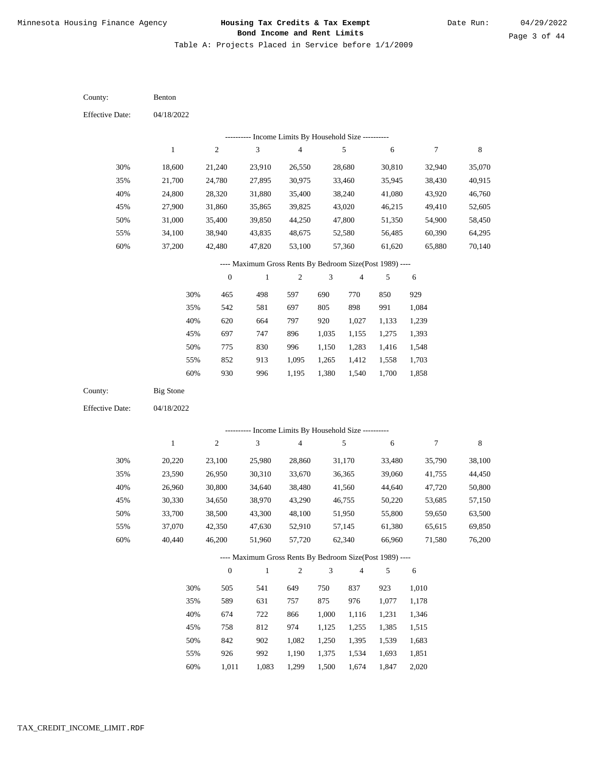Table A: Projects Placed in Service before 1/1/2009

04/18/2022 04/18/2022 Benton Big Stone 30% 35% 40% 45% 50% 55% 60% 30% 35% 40% 45% 50% 55% 60% 18,600 21,700 24,800 27,900 31,000 34,100 37,200 20,220 23,590 26,960 30,330 33,700 37,070 40,440 21,240 24,780 28,320 31,860 35,400 38,940 42,480 23,100 26,950 30,800 34,650 38,500 42,350 46,200 23,910 27,895 31,880 35,865 39,850 43,835 47,820 25,980 30,310 34,640 38,970 43,300 47,630 51,960 26,550 30,975 35,400 39,825 44,250 48,675 53,100 28,860 33,670 38,480 43,290 48,100 52,910 57,720 28,680 33,460 38,240 43,020 47,800 52,580 57,360 31,170 36,365 41,560 46,755 51,950 57,145 62,340 30,810 35,945 41,080 46,215 51,350 56,485 61,620 33,480 39,060 44,640 50,220 55,800 61,380 66,960 32,940 38,430 43,920 49,410 54,900 60,390 65,880 35,790 41,755 47,720 53,685 59,650 65,615 71,580 35,070 40,915 46,760 52,605 58,450 64,295 70,140 38,100 44,450 50,800 57,150 63,500 69,850 76,200 465 542 620 697 775 852 930 505 589 674 758 842 926 1,011 498 581 664 747 830 913 996 541 631 722 812 902 992 1,083 597 697 797 896 996 1,095 1,195 649 757 866 974 1,082 1,190 1,299 690 805 920 1,035 1,150 1,265 1,380 750 875 1,000 1,125 1,250 1,375 1,500 770 898 1,027 1,155 1,283 1,412 1,540 837 976 1,116 1,255 1,395 1,534 1,674 850 991 1,133 1,275 1,416 1,558 1,700 923 1,077 1,231 1,385 1,539 1,693 1,847 929 1,084 1,239 1,393 1,548 1,703 1,858 1,010 1,178 1,346 1,515 1,683 1,851 2,020 County: County: Effective Date: Effective Date: 1 1 2 2 3 3 4 4 5 5 6 6 7 7 8 8 0 0 1 1 2 2 3 3 4 4 5 5 6 6 ---------- Income Limits By Household Size ---------- ---------- Income Limits By Household Size ---------- ---- Maximum Gross Rents By Bedroom Size(Post 1989) ---- ---- Maximum Gross Rents By Bedroom Size(Post 1989) ---- 30% 35% 40% 45% 50% 55% 60% 30% 35% 40% 45% 50% 55% 60%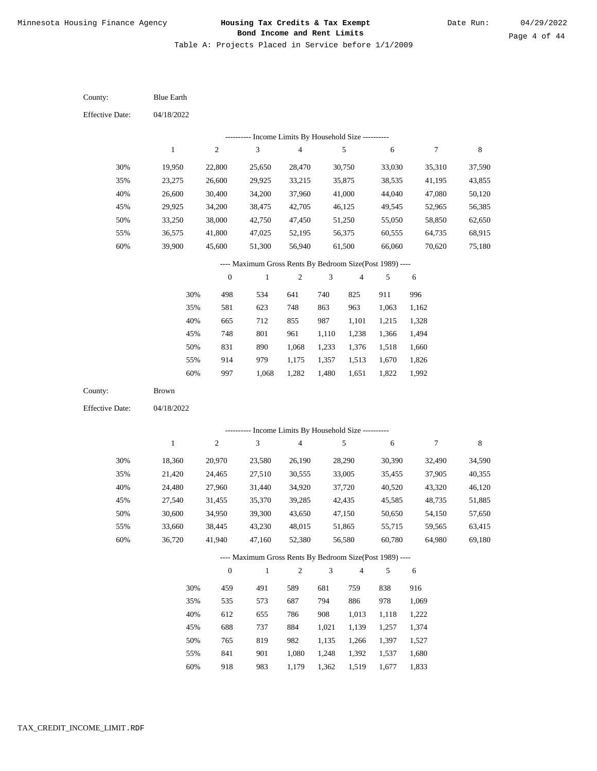Table A: Projects Placed in Service before 1/1/2009

| County:                | <b>Blue Earth</b> |                  |                                                          |                         |                |                  |                  |                  |                  |
|------------------------|-------------------|------------------|----------------------------------------------------------|-------------------------|----------------|------------------|------------------|------------------|------------------|
| <b>Effective Date:</b> | 04/18/2022        |                  |                                                          |                         |                |                  |                  |                  |                  |
|                        |                   |                  | ---------- Income Limits By Household Size ----------    |                         |                |                  |                  |                  |                  |
|                        | $\mathbf{1}$      | $\overline{c}$   | $\ensuremath{\mathfrak{Z}}$                              | $\overline{\mathbf{4}}$ |                | 5                | 6                | 7                | $\,8\,$          |
| 30%                    | 19,950            | 22,800           | 25,650                                                   | 28,470                  |                | 30,750           | 33,030           | 35,310           | 37,590           |
| 35%                    | 23,275            | 26,600           | 29,925                                                   | 33,215                  |                | 35,875           | 38,535           | 41,195           | 43,855           |
| 40%                    | 26,600            | 30,400           | 34,200                                                   | 37,960                  |                | 41,000           | 44,040           | 47,080           | 50,120           |
| 45%                    | 29,925            | 34,200           | 38,475                                                   | 42,705                  |                | 46,125           | 49,545           | 52,965           | 56,385           |
| 50%                    | 33,250            | 38,000           | 42,750                                                   | 47,450                  |                | 51,250           | 55,050           | 58,850           | 62,650           |
| 55%                    | 36,575            | 41,800           | 47,025                                                   | 52,195                  |                | 56,375           | 60,555           | 64,735           | 68,915           |
| 60%                    | 39,900            | 45,600           | 51,300                                                   | 56,940                  |                | 61,500           | 66,060           | 70,620           | 75,180           |
|                        |                   |                  | ---- Maximum Gross Rents By Bedroom Size(Post 1989) ---- |                         |                |                  |                  |                  |                  |
|                        |                   | $\boldsymbol{0}$ | $\mathbf{1}$                                             | $\boldsymbol{2}$        | 3              | $\overline{4}$   | 5                | 6                |                  |
|                        | 30%               | 498              | 534                                                      | 641                     | 740            | 825              | 911              | 996              |                  |
|                        | 35%               | 581              | 623                                                      | 748                     | 863            | 963              | 1,063            | 1,162            |                  |
|                        | 40%               | 665              | 712                                                      | 855                     | 987            | 1,101            | 1,215            | 1,328            |                  |
|                        | 45%               | 748              | 801                                                      | 961                     | 1,110          | 1,238            | 1,366            | 1,494            |                  |
|                        | 50%               | 831              | 890                                                      | 1,068                   | 1,233          | 1,376            | 1,518            | 1,660            |                  |
|                        | 55%               | 914              | 979                                                      | 1,175                   | 1,357          | 1,513            | 1,670            | 1,826            |                  |
|                        | 60%               | 997              | 1,068                                                    | 1,282                   | 1,480          | 1,651            | 1,822            | 1,992            |                  |
| County:                | Brown             |                  |                                                          |                         |                |                  |                  |                  |                  |
| <b>Effective Date:</b> | 04/18/2022        |                  |                                                          |                         |                |                  |                  |                  |                  |
|                        |                   |                  | --------- Income Limits By Household Size ----------     |                         |                |                  |                  |                  |                  |
|                        | $\mathbf{1}$      | $\sqrt{2}$       | 3                                                        | 4                       |                | 5                | 6                | 7                | $\,8\,$          |
|                        |                   |                  |                                                          |                         |                |                  |                  |                  |                  |
| 30%<br>35%             | 18,360            | 20,970           | 23,580                                                   | 26,190                  |                | 28,290           | 30,390           | 32,490           | 34,590           |
| 40%                    | 21,420<br>24,480  | 24,465<br>27,960 | 27,510<br>31,440                                         | 30,555<br>34,920        |                | 33,005<br>37,720 | 35,455<br>40,520 | 37,905<br>43,320 | 40,355<br>46,120 |
| 45%                    | 27,540            | 31,455           | 35,370                                                   | 39,285                  |                | 42,435           | 45,585           | 48,735           | 51,885           |
| 50%                    | 30,600            | 34,950           | 39,300                                                   | 43,650                  |                | 47,150           | 50,650           | 54,150           | 57,650           |
| 55%                    | 33,660            | 38,445           | 43,230                                                   | 48,015                  |                | 51,865           | 55,715           | 59,565           | 63,415           |
| 60%                    | 36,720            | 41,940           | 47,160                                                   | 52,380                  |                | 56,580           | 60,780           | 64,980           | 69,180           |
|                        |                   |                  | ---- Maximum Gross Rents By Bedroom Size(Post 1989) ---- |                         |                |                  |                  |                  |                  |
|                        |                   | $\mathbf{0}$     | $\,1\,$                                                  | $\sqrt{2}$              | $\mathfrak{Z}$ | $\overline{4}$   | 5                | 6                |                  |
|                        |                   |                  |                                                          |                         |                |                  |                  |                  |                  |
|                        | 35%               | 535              | 573                                                      | 687                     | 794            | 886              | 978              | 1,069            |                  |
|                        | 40%               | 612              | 655                                                      | 786                     | 908            | 1,013            | 1,118            | 1,222            |                  |
|                        | 45%               | 688              | 737                                                      | 884                     | 1,021          | 1,139            | 1,257            | 1,374            |                  |
|                        | 50%               | 765              | 819                                                      | 982                     | 1,135          | 1,266            | 1,397            | 1,527            |                  |
|                        | 55%               | 841              | 901                                                      | 1,080                   | 1,248          | 1,392            | 1,537            | 1,680            |                  |
|                        | 30%               | 459              | 491                                                      | 589                     | 681            | 759              | 838              | 916              |                  |
|                        |                   |                  |                                                          |                         |                |                  |                  |                  |                  |
|                        |                   |                  |                                                          |                         |                |                  |                  |                  |                  |

918 983 1,179 1,362 1,519 1,677 1,833 60%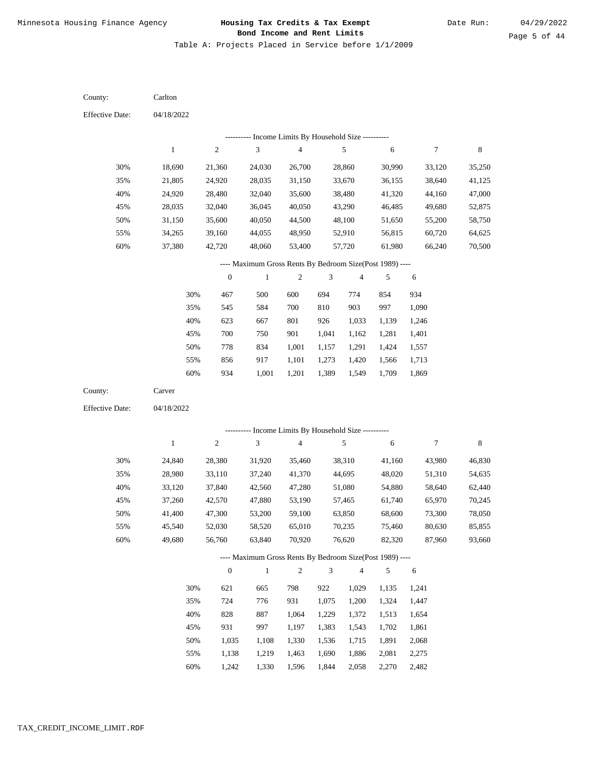Table A: Projects Placed in Service before 1/1/2009

04/18/2022 04/18/2022 Carlton Carver 30% 35% 40% 45% 50% 55% 60% 30% 35% 40% 45% 50% 55% 60% 18,690 21,805 24,920 28,035 31,150 34,265 37,380 24,840 28,980 33,120 37,260 41,400 45,540 49,680 21,360 24,920 28,480 32,040 35,600 39,160 42,720 28,380 33,110 37,840 42,570 47,300 52,030 56,760 24,030 28,035 32,040 36,045 40,050 44,055 48,060 31,920 37,240 42,560 47,880 53,200 58,520 63,840 26,700 31,150 35,600 40,050 44,500 48,950 53,400 35,460 41,370 47,280 53,190 59,100 65,010 70,920 28,860 33,670 38,480 43,290 48,100 52,910 57,720 38,310 44,695 51,080 57,465 63,850 70,235 76,620 30,990 36,155 41,320 46,485 51,650 56,815 61,980 41,160 48,020 54,880 61,740 68,600 75,460 82,320 33,120 38,640 44,160 49,680 55,200 60,720 66,240 43,980 51,310 58,640 65,970 73,300 80,630 87,960 35,250 41,125 47,000 52,875 58,750 64,625 70,500 46,830 54,635 62,440 70,245 78,050 85,855 93,660 467 545 623 700 778 856 934 621 724 828 931 1,035 1,138 1,242 500 584 667 750 834 917 1,001 665 776 887 997 1,108 1,219 1,330 600 700 801 901 1,001 1,101 1,201 798 931 1,064 1,197 1,330 1,463 1,596 694 810 926 1,041 1,157 1,273 1,389 922 1,075 1,229 1,383 1,536 1,690 1,844 774 903 1,033 1,162 1,291 1,420 1,549 1,029 1,200 1,372 1,543 1,715 1,886 2,058 854 997 1,139 1,281 1,424 1,566 1,709 1,135 1,324 1,513 1,702 1,891 2,081 2,270 934 1,090 1,246 1,401 1,557 1,713 1,869 1,241 1,447 1,654 1,861 2,068 2,275 2,482 County: County: Effective Date: Effective Date: 1 1 2 2 3 3 4 4 5 5 6 6 7 7 8 8 0 0 1 1 2 2 3 3 4 4 5 5 6 6 ---------- Income Limits By Household Size ---------- ---------- Income Limits By Household Size ---------- ---- Maximum Gross Rents By Bedroom Size(Post 1989) ---- ---- Maximum Gross Rents By Bedroom Size(Post 1989) ---- 30% 35% 40% 45% 50% 55% 60% 30% 35% 40% 45% 50% 55% 60%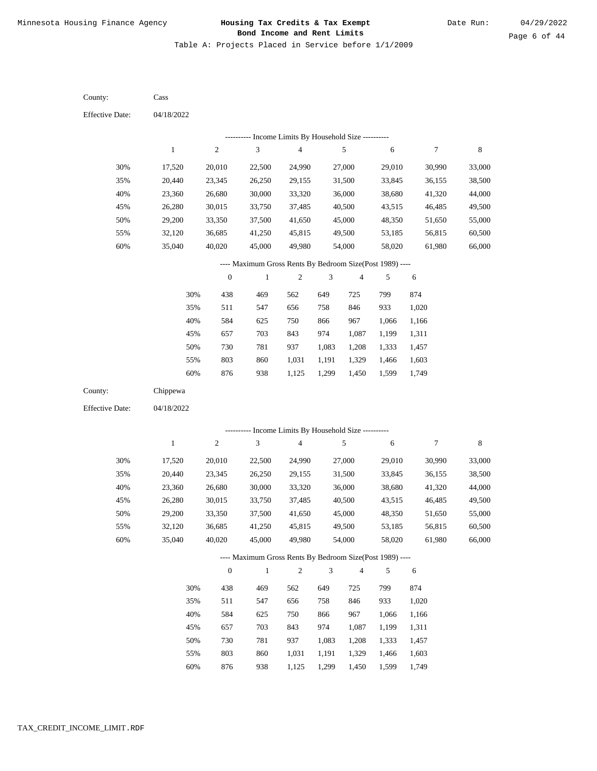Table A: Projects Placed in Service before 1/1/2009

04/18/2022 04/18/2022 Cass Chippewa 30% 35% 40% 45% 50% 55% 60% 30% 35% 40% 45% 50% 55% 60% 17,520 20,440 23,360 26,280 29,200 32,120 35,040 17,520 20,440 23,360 26,280 29,200 32,120 35,040 20,010 23,345 26,680 30,015 33,350 36,685 40,020 20,010 23,345 26,680 30,015 33,350 36,685 40,020 22,500 26,250 30,000 33,750 37,500 41,250 45,000 22,500 26,250 30,000 33,750 37,500 41,250 45,000 24,990 29,155 33,320 37,485 41,650 45,815 49,980 24,990 29,155 33,320 37,485 41,650 45,815 49,980 27,000 31,500 36,000 40,500 45,000 49,500 54,000 27,000 31,500 36,000 40,500 45,000 49,500 54,000 29,010 33,845 38,680 43,515 48,350 53,185 58,020 29,010 33,845 38,680 43,515 48,350 53,185 58,020 30,990 36,155 41,320 46,485 51,650 56,815 61,980 30,990 36,155 41,320 46,485 51,650 56,815 61,980 33,000 38,500 44,000 49,500 55,000 60,500 66,000 33,000 38,500 44,000 49,500 55,000 60,500 66,000 438 511 584 657 730 803 876 438 511 584 657 730 803 876 469 547 625 703 781 860 938 469 547 625 703 781 860 938 562 656 750 843 937 1,031 1,125 562 656 750 843 937 1,031 1,125 649 758 866 974 1,083 1,191 1,299 649 758 866 974 1,083 1,191 1,299 725 846 967 1,087 1,208 1,329 1,450 725 846 967 1,087 1,208 1,329 1,450 799 933 1,066 1,199 1,333 1,466 1,599 799 933 1,066 1,199 1,333 1,466 1,599 874 1,020 1,166 1,311 1,457 1,603 1,749 874 1,020 1,166 1,311 1,457 1,603 1,749 County: County: Effective Date: Effective Date: 1 1 2 2 3 3 4 4 5 5 6 6 7 7 8 8 0 0 1 1 2 2 3 3 4 4 5 5 6 6 ---------- Income Limits By Household Size ---------- ---------- Income Limits By Household Size ---------- ---- Maximum Gross Rents By Bedroom Size(Post 1989) ---- ---- Maximum Gross Rents By Bedroom Size(Post 1989) ---- 30% 35% 40% 45% 50% 55% 60% 30% 35% 40% 45% 50% 55% 60%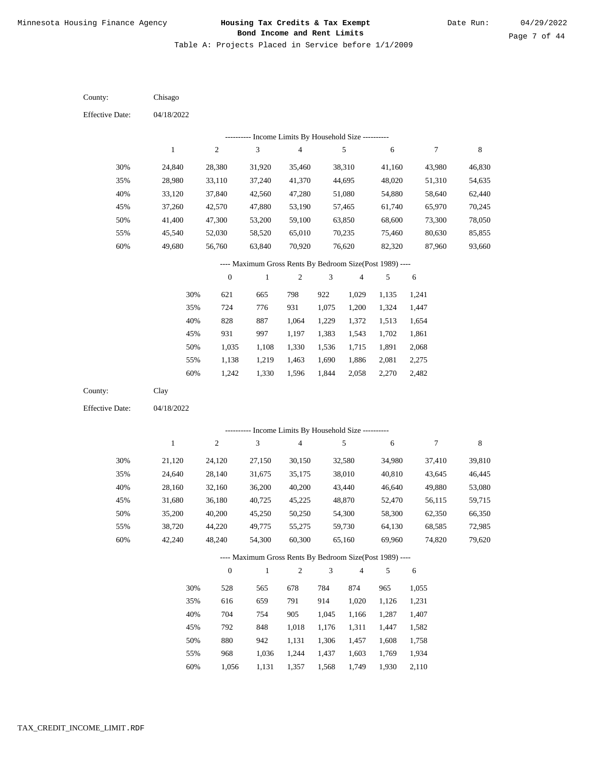Table A: Projects Placed in Service before 1/1/2009

| County:                | Chisago          |                  |                                                          |                         |                |                  |                  |                  |                  |
|------------------------|------------------|------------------|----------------------------------------------------------|-------------------------|----------------|------------------|------------------|------------------|------------------|
| <b>Effective Date:</b> | 04/18/2022       |                  |                                                          |                         |                |                  |                  |                  |                  |
|                        |                  |                  | --------- Income Limits By Household Size ----------     |                         |                |                  |                  |                  |                  |
|                        | $\mathbf{1}$     | $\overline{c}$   | 3                                                        | $\overline{\mathbf{4}}$ |                | 5                | $\sqrt{6}$       | $\boldsymbol{7}$ | $\,8\,$          |
| 30%                    | 24,840           | 28,380           | 31,920                                                   | 35,460                  |                | 38,310           | 41,160           | 43,980           | 46,830           |
| 35%                    | 28,980           | 33,110           | 37,240                                                   | 41,370                  |                | 44,695           | 48,020           | 51,310           | 54,635           |
| 40%                    | 33,120           | 37,840           | 42,560                                                   | 47,280                  |                | 51,080           | 54,880           | 58,640           | 62,440           |
| 45%                    | 37,260           | 42,570           | 47,880                                                   | 53,190                  |                | 57,465           | 61,740           | 65,970           | 70,245           |
| 50%                    | 41,400           | 47,300           | 53,200                                                   | 59,100                  |                | 63,850           | 68,600           | 73,300           | 78,050           |
| 55%                    | 45,540           | 52,030           | 58,520                                                   | 65,010                  |                | 70,235           | 75,460           | 80,630           | 85,855           |
| 60%                    | 49,680           | 56,760           | 63,840                                                   | 70,920                  |                | 76,620           | 82,320           | 87,960           | 93,660           |
|                        |                  |                  | ---- Maximum Gross Rents By Bedroom Size(Post 1989) ---- |                         |                |                  |                  |                  |                  |
|                        |                  | $\boldsymbol{0}$ | $\mathbf{1}$                                             | $\sqrt{2}$              | 3              | $\overline{4}$   | $\sqrt{5}$       | 6                |                  |
|                        | 30%              | 621              | 665                                                      | 798                     | 922            | 1,029            | 1,135            | 1,241            |                  |
|                        | 35%              | 724              | 776                                                      | 931                     | 1,075          | 1,200            | 1,324            | 1,447            |                  |
|                        | 40%              | 828              | 887                                                      | 1,064                   | 1,229          | 1,372            | 1,513            | 1,654            |                  |
|                        | 45%              | 931              | 997                                                      | 1,197                   | 1,383          | 1,543            | 1,702            | 1,861            |                  |
|                        | 50%              | 1,035            | 1,108                                                    | 1,330                   | 1,536          | 1,715            | 1,891            | 2,068            |                  |
|                        | 55%              | 1,138            | 1,219                                                    | 1,463                   | 1,690          | 1,886            | 2,081            | 2,275            |                  |
|                        | 60%              | 1,242            | 1,330                                                    | 1,596                   | 1,844          | 2,058            | 2,270            | 2,482            |                  |
| County:                | Clay             |                  |                                                          |                         |                |                  |                  |                  |                  |
| <b>Effective Date:</b> | 04/18/2022       |                  |                                                          |                         |                |                  |                  |                  |                  |
|                        |                  |                  | --------- Income Limits By Household Size ----------     |                         |                |                  |                  |                  |                  |
|                        | $\mathbf{1}$     | $\sqrt{2}$       | 3                                                        | 4                       |                | $\sqrt{5}$       | 6                | 7                | 8                |
|                        |                  |                  |                                                          |                         |                |                  |                  |                  |                  |
| 30%                    | 21,120           | 24,120           | 27,150                                                   | 30,150                  |                | 32,580           | 34,980           | 37,410           | 39,810           |
| 35%                    | 24,640           | 28,140           | 31,675                                                   | 35,175                  |                | 38,010           | 40,810           | 43,645           | 46,445           |
| 40%                    | 28,160           | 32,160           | 36,200                                                   | 40,200                  |                | 43,440           | 46,640           | 49,880           | 53,080           |
| 45%<br>50%             | 31,680           | 36,180<br>40,200 | 40,725                                                   | 45,225                  |                | 48,870           | 52,470           | 56,115           | 59,715           |
|                        | 35,200           |                  | 45,250<br>49,775                                         | 50,250                  |                | 54,300           | 58,300           | 62,350<br>68,585 | 66,350           |
| 55%<br>60%             | 38,720<br>42,240 | 44,220<br>48,240 | 54,300                                                   | 55,275<br>60,300        |                | 59,730<br>65,160 | 64,130<br>69,960 | 74,820           | 72,985<br>79,620 |
|                        |                  |                  | ---- Maximum Gross Rents By Bedroom Size(Post 1989) ---- |                         |                |                  |                  |                  |                  |
|                        |                  | $\boldsymbol{0}$ | $\,1\,$                                                  | $\boldsymbol{2}$        | $\mathfrak{Z}$ | $\sqrt{4}$       | 5                | 6                |                  |
|                        |                  |                  |                                                          |                         |                |                  |                  |                  |                  |
|                        | 30%              | 528              | 565                                                      | 678                     | 784            | 874              | 965              | 1,055            |                  |
|                        | 35%              | 616              | 659                                                      | 791                     | 914            | 1,020            | 1,126            | 1,231            |                  |
|                        | 40%              | 704              | 754                                                      | 905                     | 1,045          | 1,166            | 1,287            | 1,407            |                  |
|                        | 45%              | 792              | 848                                                      | 1,018                   | 1,176          | 1,311            | 1,447            | 1,582            |                  |
|                        | 50%              | 880              | 942                                                      | 1,131                   | 1,306          | 1,457            | 1,608            | 1,758            |                  |
|                        | 55%              | 968              | 1,036                                                    | 1,244                   | 1,437          | 1,603            | 1,769            | 1,934            |                  |

1,056 1,131 1,357 1,568 1,749 1,930 2,110 60%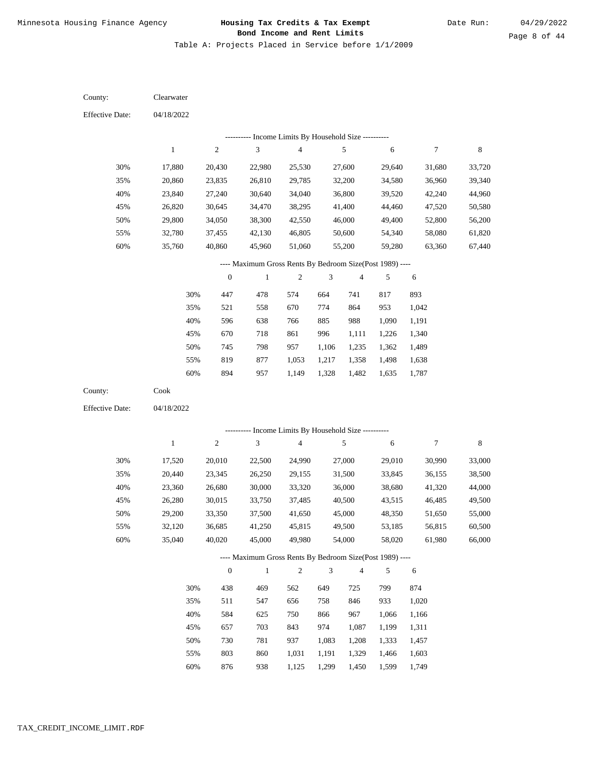Table A: Projects Placed in Service before 1/1/2009

04/18/2022 04/18/2022 Clearwater Cook 30% 35% 40% 45% 50% 55% 60% 30% 35% 40% 45% 50% 55% 60% 17,880 20,860 23,840 26,820 29,800 32,780 35,760 17,520 20,440 23,360 26,280 29,200 32,120 35,040 20,430 23,835 27,240 30,645 34,050 37,455 40,860 20,010 23,345 26,680 30,015 33,350 36,685 40,020 22,980 26,810 30,640 34,470 38,300 42,130 45,960 22,500 26,250 30,000 33,750 37,500 41,250 45,000 25,530 29,785 34,040 38,295 42,550 46,805 51,060 24,990 29,155 33,320 37,485 41,650 45,815 49,980 27,600 32,200 36,800 41,400 46,000 50,600 55,200 27,000 31,500 36,000 40,500 45,000 49,500 54,000 29,640 34,580 39,520 44,460 49,400 54,340 59,280 29,010 33,845 38,680 43,515 48,350 53,185 58,020 31,680 36,960 42,240 47,520 52,800 58,080 63,360 30,990 36,155 41,320 46,485 51,650 56,815 61,980 33,720 39,340 44,960 50,580 56,200 61,820 67,440 33,000 38,500 44,000 49,500 55,000 60,500 66,000 447 521 596 670 745 819 894 438 511 584 657 730 803 478 558 638 718 798 877 957 469 547 625 703 781 860 574 670 766 861 957 1,053 1,149 562 656 750 843 937 1,031 664 774 885 996 1,106 1,217 1,328 649 758 866 974 1,083 1,191 741 864 988 1,111 1,235 1,358 1,482 725 846 967 1,087 1,208 1,329 817 953 1,090 1,226 1,362 1,498 1,635 799 933 1,066 1,199 1,333 1,466 893 1,042 1,191 1,340 1,489 1,638 1,787 874 1,020 1,166 1,311 1,457 1,603 County: County: Effective Date: Effective Date: 1 1 2 2 3 3 4 4 5 5 6 6 7 7 8 8 0 0 1 1 2 2 3 3 4 4 5 5 6 6 ---------- Income Limits By Household Size ---------- ---------- Income Limits By Household Size ---------- ---- Maximum Gross Rents By Bedroom Size(Post 1989) ---- ---- Maximum Gross Rents By Bedroom Size(Post 1989) ---- 30% 35% 40% 45% 50% 55% 60% 30% 35% 40% 45% 50% 55%

876

60%

938

1,125

1,299

1,450

1,599

1,749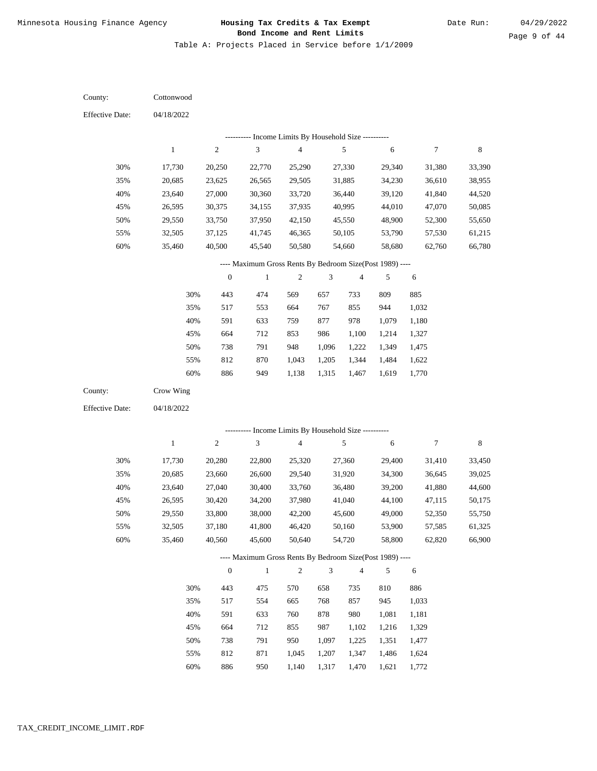Table A: Projects Placed in Service before 1/1/2009

04/18/2022 04/18/2022 **Cottonwood** Crow Wing 30% 35% 40% 45% 50% 55% 60% 30% 35% 40% 45% 50% 55% 60% 17,730 20,685 23,640 26,595 29,550 32,505 35,460 17,730 20,685 23,640 26,595 29,550 32,505 35,460 20,250 23,625 27,000 30,375 33,750 37,125 40,500 20,280 23,660 27,040 30,420 33,800 37,180 40,560 22,770 26,565 30,360 34,155 37,950 41,745 45,540 22,800 26,600 30,400 34,200 38,000 41,800 45,600 25,290 29,505 33,720 37,935 42,150 46,365 50,580 25,320 29,540 33,760 37,980 42,200 46,420 50,640 27,330 31,885 36,440 40,995 45,550 50,105 54,660 27,360 31,920 36,480 41,040 45,600 50,160 54,720 29,340 34,230 39,120 44,010 48,900 53,790 58,680 29,400 34,300 39,200 44,100 49,000 53,900 58,800 31,380 36,610 41,840 47,070 52,300 57,530 62,760 31,410 36,645 41,880 47,115 52,350 57,585 62,820 33,390 38,955 44,520 50,085 55,650 61,215 66,780 33,450 39,025 44,600 50,175 55,750 61,325 66,900 443 517 591 664 738 812 886 443 517 591 664 738 812 886 474 553 633 712 791 870 949 475 554 633 712 791 871 950 569 664 759 853 948 1,043 1,138 570 665 760 855 950 1,045 1,140 657 767 877 986 1,096 1,205 1,315 658 768 878 987 1,097 1,207 1,317 733 855 978 1,100 1,222 1,344 1,467 735 857 980 1,102 1,225 1,347 1,470 809 944 1,079 1,214 1,349 1,484 1,619 810 945 1,081 1,216 1,351 1,486 1,621 885 1,032 1,180 1,327 1,475 1,622 1,770 886 1,033 1,181 1,329 1,477 1,624 1,772 County: County: Effective Date: Effective Date: 1 1 2 2 3 3 4 4 5 5 6 6 7 7 8 8 0 0 1 1 2 2 3 3 4 4 5 5 6 6 ---------- Income Limits By Household Size ---------- ---------- Income Limits By Household Size ---------- ---- Maximum Gross Rents By Bedroom Size(Post 1989) ---- ---- Maximum Gross Rents By Bedroom Size(Post 1989) ---- 30% 35% 40% 45% 50% 55% 60% 30% 35% 40% 45% 50% 55% 60%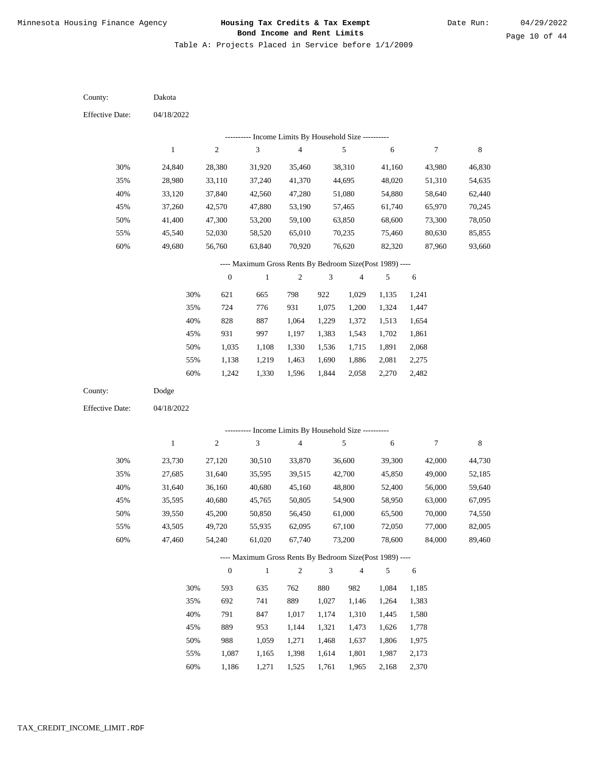Table A: Projects Placed in Service before 1/1/2009

04/18/2022 04/18/2022 Dakota Dodge 30% 35% 40% 45% 50% 55% 60% 30% 35% 40% 45% 50% 55% 60% 24,840 28,980 33,120 37,260 41,400 45,540 49,680 23,730 27,685 31,640 35,595 39,550 43,505 47,460 28,380 33,110 37,840 42,570 47,300 52,030 56,760 27,120 31,640 36,160 40,680 45,200 49,720 54,240 31,920 37,240 42,560 47,880 53,200 58,520 63,840 30,510 35,595 40,680 45,765 50,850 55,935 61,020 35,460 41,370 47,280 53,190 59,100 65,010 70,920 33,870 39,515 45,160 50,805 56,450 62,095 67,740 38,310 44,695 51,080 57,465 63,850 70,235 76,620 36,600 42,700 48,800 54,900 61,000 67,100 73,200 41,160 48,020 54,880 61,740 68,600 75,460 82,320 39,300 45,850 52,400 58,950 65,500 72,050 78,600 43,980 51,310 58,640 65,970 73,300 80,630 87,960 42,000 49,000 56,000 63,000 70,000 77,000 84,000 46,830 54,635 62,440 70,245 78,050 85,855 93,660 44,730 52,185 59,640 67,095 74,550 82,005 89,460 621 724 828 931 1,035 1,138 1,242 593 692 791 889 988 1,087 1,186 665 776 887 997 1,108 1,219 1,330 635 741 847 953 1,059 1,165 1,271 798 931 1,064 1,197 1,330 1,463 1,596 762 889 1,017 1,144 1,271 1,398 1,525 922 1,075 1,229 1,383 1,536 1,690 1,844 880 1,027 1,174 1,321 1,468 1,614 1,761 1,029 1,200 1,372 1,543 1,715 1,886 2,058 982 1,146 1,310 1,473 1,637 1,801 1,965 1,135 1,324 1,513 1,702 1,891 2,081 2,270 1,084 1,264 1,445 1,626 1,806 1,987 2,168 1,241 1,447 1,654 1,861 2,068 2,275 2,482 1,185 1,383 1,580 1,778 1,975 2,173 2,370 County: County: Effective Date: Effective Date: 1 1 2 2 3 3 4 4 5 5 6 6 7 7 8 8 0 0 1 1 2 2 3 3 4 4 5 5 6 6 ---------- Income Limits By Household Size ---------- ---------- Income Limits By Household Size ---------- ---- Maximum Gross Rents By Bedroom Size(Post 1989) ---- ---- Maximum Gross Rents By Bedroom Size(Post 1989) ---- 30% 35% 40% 45% 50% 55% 60% 30% 35% 40% 45% 50% 55% 60%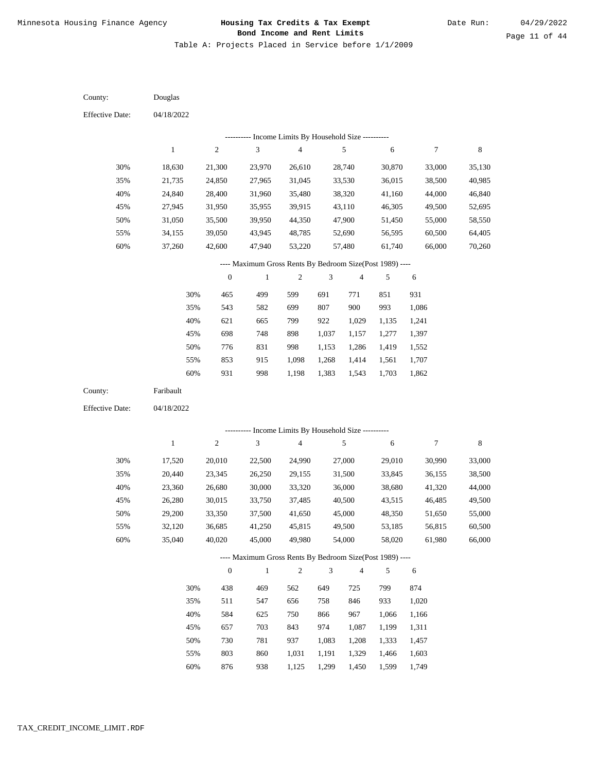Table A: Projects Placed in Service before 1/1/2009

04/18/2022 04/18/2022 Douglas Faribault 30% 35% 40% 45% 50% 55% 60% 30% 35% 40% 45% 50% 55% 60% 18,630 21,735 24,840 27,945 31,050 34,155 37,260 17,520 20,440 23,360 26,280 29,200 32,120 35,040 21,300 24,850 28,400 31,950 35,500 39,050 42,600 20,010 23,345 26,680 30,015 33,350 36,685 40,020 23,970 27,965 31,960 35,955 39,950 43,945 47,940 22,500 26,250 30,000 33,750 37,500 41,250 45,000 26,610 31,045 35,480 39,915 44,350 48,785 53,220 24,990 29,155 33,320 37,485 41,650 45,815 49,980 28,740 33,530 38,320 43,110 47,900 52,690 57,480 27,000 31,500 36,000 40,500 45,000 49,500 54,000 30,870 36,015 41,160 46,305 51,450 56,595 61,740 29,010 33,845 38,680 43,515 48,350 53,185 58,020 33,000 38,500 44,000 49,500 55,000 60,500 66,000 30,990 36,155 41,320 46,485 51,650 56,815 61,980 35,130 40,985 46,840 52,695 58,550 64,405 70,260 33,000 38,500 44,000 49,500 55,000 60,500 66,000 465 543 621 698 776 853 931 438 511 584 657 730 803 876 499 582 665 748 831 915 998 469 547 625 703 781 860 938 599 699 799 898 998 1,098 1,198 562 656 750 843 937 1,031 1,125 691 807 922 1,037 1,153 1,268 1,383 649 758 866 974 1,083 1,191 1,299 771 900 1,029 1,157 1,286 1,414 1,543 725 846 967 1,087 1,208 1,329 1,450 851 993 1,135 1,277 1,419 1,561 1,703 799 933 1,066 1,199 1,333 1,466 1,599 931 1,086 1,241 1,397 1,552 1,707 1,862 874 1,020 1,166 1,311 1,457 1,603 1,749 County: County: Effective Date: Effective Date: 1 1 2 2 3 3 4 4 5 5 6 6 7 7 8 8 0 0 1 1 2 2 3 3 4 4 5 5 6 6 ---------- Income Limits By Household Size ---------- ---------- Income Limits By Household Size ---------- ---- Maximum Gross Rents By Bedroom Size(Post 1989) ---- ---- Maximum Gross Rents By Bedroom Size(Post 1989) ---- 30% 35% 40% 45% 50% 55% 60% 30% 35% 40% 45% 50% 55% 60%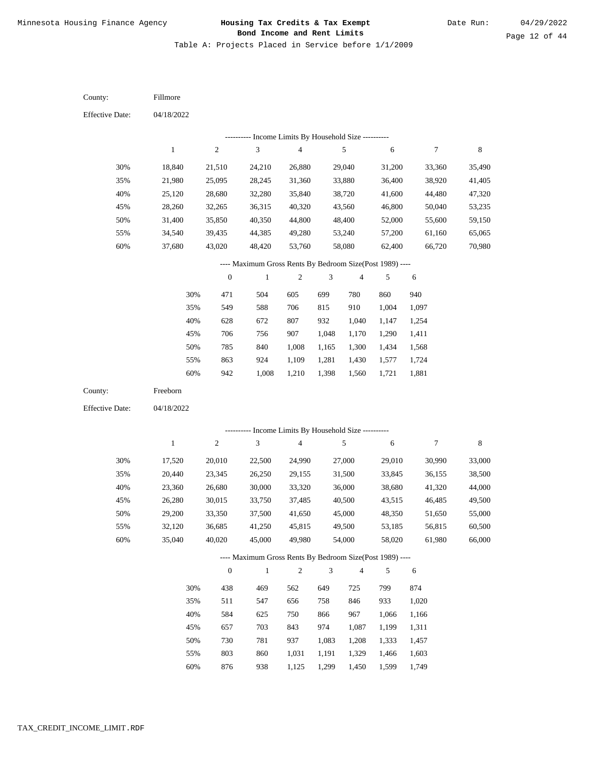Table A: Projects Placed in Service before 1/1/2009

04/18/2022 04/18/2022 Fillmore Freeborn 30% 35% 40% 45% 50% 55% 60% 30% 35% 40% 45% 50% 55% 60% 18,840 21,980 25,120 28,260 31,400 34,540 37,680 17,520 20,440 23,360 26,280 29,200 32,120 35,040 21,510 25,095 28,680 32,265 35,850 39,435 43,020 20,010 23,345 26,680 30,015 33,350 36,685 40,020 24,210 28,245 32,280 36,315 40,350 44,385 48,420 22,500 26,250 30,000 33,750 37,500 41,250 45,000 26,880 31,360 35,840 40,320 44,800 49,280 53,760 24,990 29,155 33,320 37,485 41,650 45,815 49,980 29,040 33,880 38,720 43,560 48,400 53,240 58,080 27,000 31,500 36,000 40,500 45,000 49,500 54,000 31,200 36,400 41,600 46,800 52,000 57,200 62,400 29,010 33,845 38,680 43,515 48,350 53,185 58,020 33,360 38,920 44,480 50,040 55,600 61,160 66,720 30,990 36,155 41,320 46,485 51,650 56,815 61,980 35,490 41,405 47,320 53,235 59,150 65,065 70,980 33,000 38,500 44,000 49,500 55,000 60,500 66,000 471 549 628 706 785 863 942 438 511 584 657 730 803 876 504 588 672 756 840 924 1,008 469 547 625 703 781 860 938 605 706 807 907 1,008 1,109 1,210 562 656 750 843 937 1,031 1,125 699 815 932 1,048 1,165 1,281 1,398 649 758 866 974 1,083 1,191 1,299 780 910 1,040 1,170 1,300 1,430 1,560 725 846 967 1,087 1,208 1,329 1,450 860 1,004 1,147 1,290 1,434 1,577 1,721 799 933 1,066 1,199 1,333 1,466 1,599 940 1,097 1,254 1,411 1,568 1,724 1,881 874 1,020 1,166 1,311 1,457 1,603 1,749 County: County: Effective Date: Effective Date: 1 1 2 2 3 3 4 4 5 5 6 6 7 7 8 8 0 0 1 1 2 2 3 3 4 4 5 5 6 6 ---------- Income Limits By Household Size ---------- ---------- Income Limits By Household Size ---------- ---- Maximum Gross Rents By Bedroom Size(Post 1989) ---- ---- Maximum Gross Rents By Bedroom Size(Post 1989) ---- 30% 35% 40% 45% 50% 55% 60% 30% 35% 40% 45% 50% 55% 60%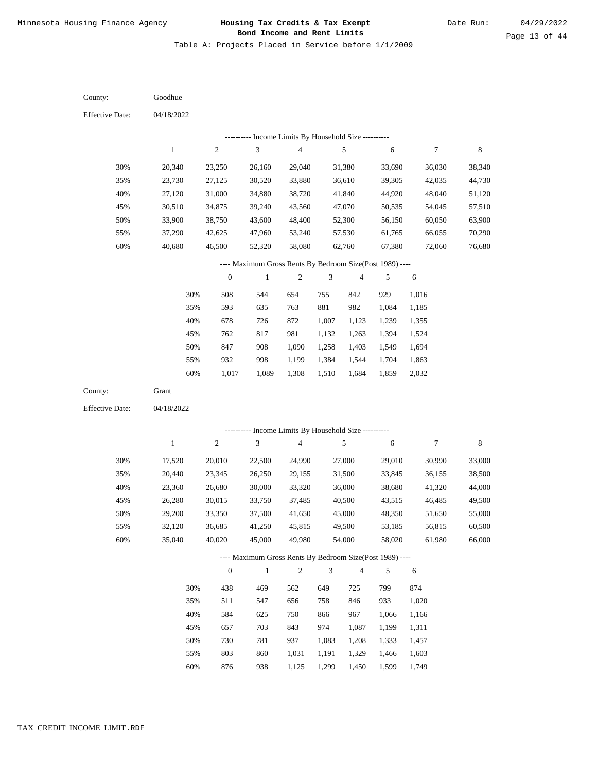Table A: Projects Placed in Service before 1/1/2009

04/18/2022 04/18/2022 Goodhue Grant 30% 35% 40% 45% 50% 55% 60% 30% 35% 40% 45% 50% 55% 60% 20,340 23,730 27,120 30,510 33,900 37,290 40,680 17,520 20,440 23,360 26,280 29,200 32,120 35,040 23,250 27,125 31,000 34,875 38,750 42,625 46,500 20,010 23,345 26,680 30,015 33,350 36,685 40,020 26,160 30,520 34,880 39,240 43,600 47,960 52,320 22,500 26,250 30,000 33,750 37,500 41,250 45,000 29,040 33,880 38,720 43,560 48,400 53,240 58,080 24,990 29,155 33,320 37,485 41,650 45,815 49,980 31,380 36,610 41,840 47,070 52,300 57,530 62,760 27,000 31,500 36,000 40,500 45,000 49,500 54,000 33,690 39,305 44,920 50,535 56,150 61,765 67,380 29,010 33,845 38,680 43,515 48,350 53,185 58,020 36,030 42,035 48,040 54,045 60,050 66,055 72,060 30,990 36,155 41,320 46,485 51,650 56,815 61,980 38,340 44,730 51,120 57,510 63,900 70,290 76,680 33,000 38,500 44,000 49,500 55,000 60,500 66,000 508 593 678 762 847 932 1,017 438 511 584 657 730 803 876 544 635 726 817 908 998 1,089 469 547 625 703 781 860 938 654 763 872 981 1,090 1,199 1,308 562 656 750 843 937 1,031 1,125 755 881 1,007 1,132 1,258 1,384 1,510 649 758 866 974 1,083 1,191 1,299 842 982 1,123 1,263 1,403 1,544 1,684 725 846 967 1,087 1,208 1,329 1,450 929 1,084 1,239 1,394 1,549 1,704 1,859 799 933 1,066 1,199 1,333 1,466 1,599 1,016 1,185 1,355 1,524 1,694 1,863 2,032 874 1,020 1,166 1,311 1,457 1,603 1,749 County: County: Effective Date: Effective Date: 1 1 2 2 3 3 4 4 5 5 6 6 7 7 8 8 0 0 1 1 2 2 3 3 4 4 5 5 6 6 ---------- Income Limits By Household Size ---------- ---------- Income Limits By Household Size ---------- ---- Maximum Gross Rents By Bedroom Size(Post 1989) ---- ---- Maximum Gross Rents By Bedroom Size(Post 1989) ---- 30% 35% 40% 45% 50% 55% 60% 30% 35% 40% 45% 50% 55% 60%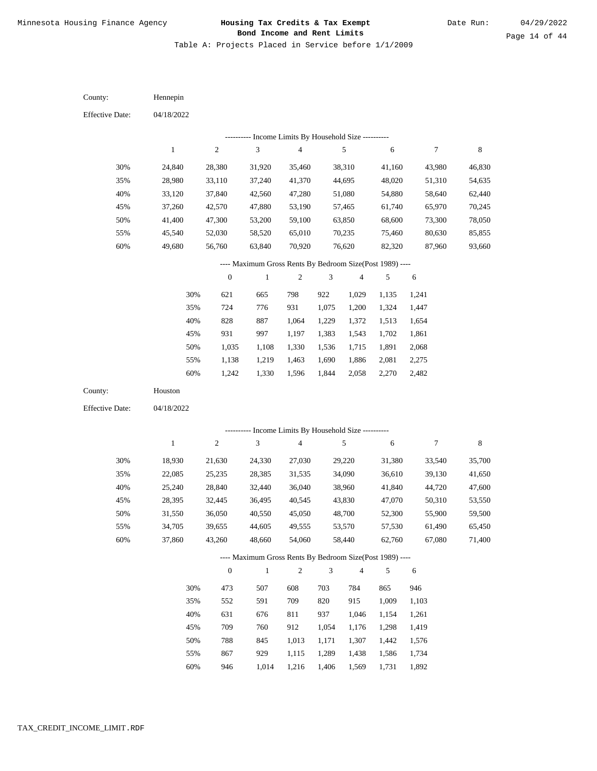Table A: Projects Placed in Service before 1/1/2009

04/18/2022 04/18/2022 Hennepin Houston 30% 35% 40% 45% 50% 55% 60% 30% 35% 40% 45% 50% 55% 60% 24,840 28,980 33,120 37,260 41,400 45,540 49,680 18,930 22,085 25,240 28,395 31,550 34,705 37,860 28,380 33,110 37,840 42,570 47,300 52,030 56,760 21,630 25,235 28,840 32,445 36,050 39,655 43,260 31,920 37,240 42,560 47,880 53,200 58,520 63,840 24,330 28,385 32,440 36,495 40,550 44,605 48,660 35,460 41,370 47,280 53,190 59,100 65,010 70,920 27,030 31,535 36,040 40,545 45,050 49,555 54,060 38,310 44,695 51,080 57,465 63,850 70,235 76,620 29,220 34,090 38,960 43,830 48,700 53,570 58,440 41,160 48,020 54,880 61,740 68,600 75,460 82,320 31,380 36,610 41,840 47,070 52,300 57,530 62,760 43,980 51,310 58,640 65,970 73,300 80,630 87,960 33,540 39,130 44,720 50,310 55,900 61,490 67,080 46,830 54,635 62,440 70,245 78,050 85,855 93,660 35,700 41,650 47,600 53,550 59,500 65,450 71,400 621 724 828 931 1,035 1,138 1,242 473 552 631 709 788 867 946 665 776 887 997 1,108 1,219 1,330 507 591 676 760 845 929 1,014 798 931 1,064 1,197 1,330 1,463 1,596 608 709 811 912 1,013 1,115 1,216 922 1,075 1,229 1,383 1,536 1,690 1,844 703 820 937 1,054 1,171 1,289 1,406 1,029 1,200 1,372 1,543 1,715 1,886 2,058 784 915 1,046 1,176 1,307 1,438 1,569 1,135 1,324 1,513 1,702 1,891 2,081 2,270 865 1,009 1,154 1,298 1,442 1,586 1,731 1,241 1,447 1,654 1,861 2,068 2,275 2,482 946 1,103 1,261 1,419 1,576 1,734 1,892 County: County: Effective Date: Effective Date: 1 1 2 2 3 3 4 4 5 5 6 6 7 7 8 8 0 0 1 1 2 2 3 3 4 4 5 5 6 6 ---------- Income Limits By Household Size ---------- ---------- Income Limits By Household Size ---------- ---- Maximum Gross Rents By Bedroom Size(Post 1989) ---- ---- Maximum Gross Rents By Bedroom Size(Post 1989) ---- 30% 35% 40% 45% 50% 55% 60% 30% 35% 40% 45% 50% 55% 60%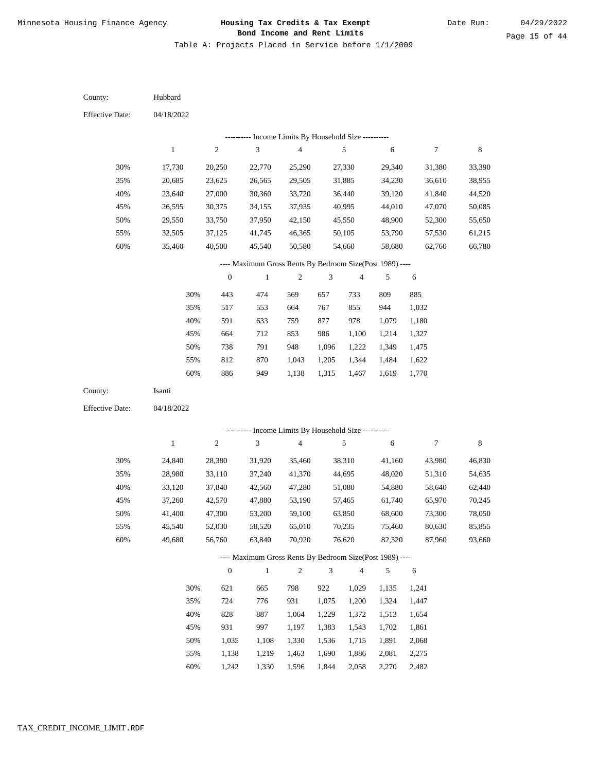Table A: Projects Placed in Service before 1/1/2009

04/18/2022 04/18/2022 Hubbard Isanti 30% 35% 40% 45% 50% 55% 60% 30% 35% 40% 45% 50% 55% 60% 17,730 20,685 23,640 26,595 29,550 32,505 35,460 24,840 28,980 33,120 37,260 41,400 45,540 49,680 20,250 23,625 27,000 30,375 33,750 37,125 40,500 28,380 33,110 37,840 42,570 47,300 52,030 56,760 22,770 26,565 30,360 34,155 37,950 41,745 45,540 31,920 37,240 42,560 47,880 53,200 58,520 63,840 25,290 29,505 33,720 37,935 42,150 46,365 50,580 35,460 41,370 47,280 53,190 59,100 65,010 70,920 27,330 31,885 36,440 40,995 45,550 50,105 54,660 38,310 44,695 51,080 57,465 63,850 70,235 76,620 29,340 34,230 39,120 44,010 48,900 53,790 58,680 41,160 48,020 54,880 61,740 68,600 75,460 82,320 31,380 36,610 41,840 47,070 52,300 57,530 62,760 43,980 51,310 58,640 65,970 73,300 80,630 87,960 33,390 38,955 44,520 50,085 55,650 61,215 66,780 46,830 54,635 62,440 70,245 78,050 85,855 93,660 443 517 591 664 738 812 886 621 724 828 931 1,035 1,138 1,242 474 553 633 712 791 870 949 665 776 887 997 1,108 1,219 1,330 569 664 759 853 948 1,043 1,138 798 931 1,064 1,197 1,330 1,463 1,596 657 767 877 986 1,096 1,205 1,315 922 1,075 1,229 1,383 1,536 1,690 1,844 733 855 978 1,100 1,222 1,344 1,467 1,029 1,200 1,372 1,543 1,715 1,886 2,058 809 944 1,079 1,214 1,349 1,484 1,619 1,135 1,324 1,513 1,702 1,891 2,081 2,270 885 1,032 1,180 1,327 1,475 1,622 1,770 1,241 1,447 1,654 1,861 2,068 2,275 2,482 County: County: Effective Date: Effective Date: 1 1 2 2 3 3 4 4 5 5 6 6 7 7 8 8 0 0 1 1 2 2 3 3 4 4 5 5 6 6 ---------- Income Limits By Household Size ---------- ---------- Income Limits By Household Size ---------- ---- Maximum Gross Rents By Bedroom Size(Post 1989) ---- ---- Maximum Gross Rents By Bedroom Size(Post 1989) ---- 30% 35% 40% 45% 50% 55% 60% 30% 35% 40% 45% 50% 55% 60%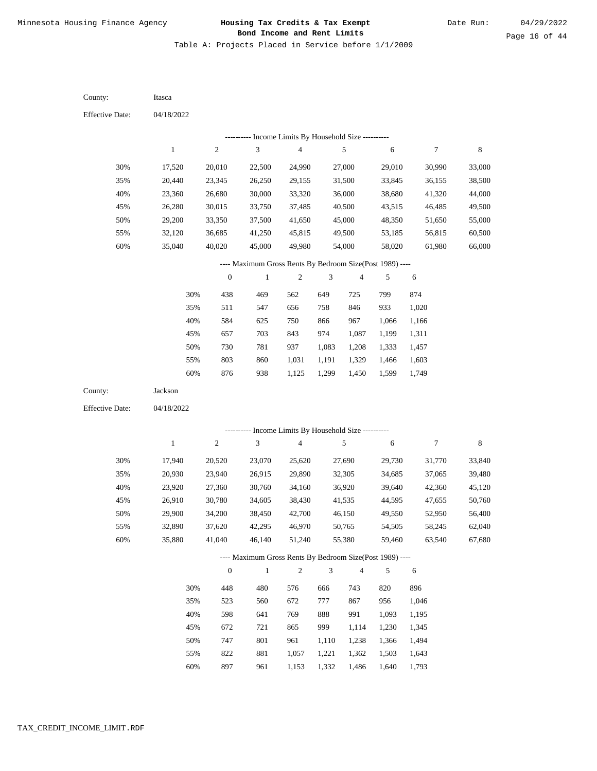Table A: Projects Placed in Service before 1/1/2009

04/18/2022 04/18/2022 Itasca Jackson 30% 35% 40% 45% 50% 55% 60% 30% 35% 40% 45% 50% 55% 60% 17,520 20,440 23,360 26,280 29,200 32,120 35,040 17,940 20,930 23,920 26,910 29,900 32,890 35,880 20,010 23,345 26,680 30,015 33,350 36,685 40,020 20,520 23,940 27,360 30,780 34,200 37,620 41,040 22,500 26,250 30,000 33,750 37,500 41,250 45,000 23,070 26,915 30,760 34,605 38,450 42,295 46,140 24,990 29,155 33,320 37,485 41,650 45,815 49,980 25,620 29,890 34,160 38,430 42,700 46,970 51,240 27,000 31,500 36,000 40,500 45,000 49,500 54,000 27,690 32,305 36,920 41,535 46,150 50,765 55,380 29,010 33,845 38,680 43,515 48,350 53,185 58,020 29,730 34,685 39,640 44,595 49,550 54,505 59,460 30,990 36,155 41,320 46,485 51,650 56,815 61,980 31,770 37,065 42,360 47,655 52,950 58,245 63,540 33,000 38,500 44,000 49,500 55,000 60,500 66,000 33,840 39,480 45,120 50,760 56,400 62,040 67,680 438 511 584 657 730 803 876 448 523 598 672 747 822 897 469 547 625 703 781 860 938 480 560 641 721 801 881 961 562 656 750 843 937 1,031 1,125 576 672 769 865 961 1,057 1,153 649 758 866 974 1,083 1,191 1,299 666 777 888 999 1,110 1,221 1,332 725 846 967 1,087 1,208 1,329 1,450 743 867 991 1,114 1,238 1,362 1,486 799 933 1,066 1,199 1,333 1,466 1,599 820 956 1,093 1,230 1,366 1,503 1,640 874 1,020 1,166 1,311 1,457 1,603 1,749 896 1,046 1,195 1,345 1,494 1,643 1,793 County: County: Effective Date: Effective Date: 1 1 2 2 3 3 4 4 5 5 6 6 7 7 8 8 0 0 1 1 2 2 3 3 4 4 5 5 6 6 ---------- Income Limits By Household Size ---------- ---------- Income Limits By Household Size ---------- ---- Maximum Gross Rents By Bedroom Size(Post 1989) ---- ---- Maximum Gross Rents By Bedroom Size(Post 1989) ---- 30% 35% 40% 45% 50% 55% 60% 30% 35% 40% 45% 50% 55% 60%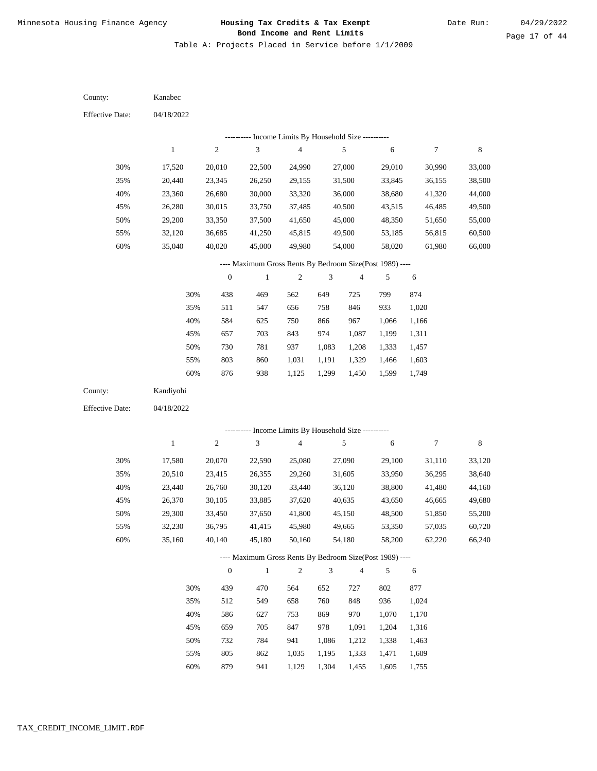Table A: Projects Placed in Service before 1/1/2009

04/18/2022 04/18/2022 Kanabec Kandiyohi 30% 35% 40% 45% 50% 55% 60% 30% 35% 40% 45% 50% 55% 60% 17,520 20,440 23,360 26,280 29,200 32,120 35,040 17,580 20,510 23,440 26,370 29,300 32,230 35,160 20,010 23,345 26,680 30,015 33,350 36,685 40,020 20,070 23,415 26,760 30,105 33,450 36,795 40,140 22,500 26,250 30,000 33,750 37,500 41,250 45,000 22,590 26,355 30,120 33,885 37,650 41,415 45,180 24,990 29,155 33,320 37,485 41,650 45,815 49,980 25,080 29,260 33,440 37,620 41,800 45,980 50,160 27,000 31,500 36,000 40,500 45,000 49,500 54,000 27,090 31,605 36,120 40,635 45,150 49,665 54,180 29,010 33,845 38,680 43,515 48,350 53,185 58,020 29,100 33,950 38,800 43,650 48,500 53,350 58,200 30,990 36,155 41,320 46,485 51,650 56,815 61,980 31,110 36,295 41,480 46,665 51,850 57,035 62,220 33,000 38,500 44,000 49,500 55,000 60,500 66,000 33,120 38,640 44,160 49,680 55,200 60,720 66,240 438 511 584 657 730 803 876 439 512 586 659 732 805 879 469 547 625 703 781 860 938 470 549 627 705 784 862 941 562 656 750 843 937 1,031 1,125 564 658 753 847 941 1,035 1,129 649 758 866 974 1,083 1,191 1,299 652 760 869 978 1,086 1,195 1,304 725 846 967 1,087 1,208 1,329 1,450 727 848 970 1,091 1,212 1,333 1,455 799 933 1,066 1,199 1,333 1,466 1,599 802 936 1,070 1,204 1,338 1,471 1,605 874 1,020 1,166 1,311 1,457 1,603 1,749 877 1,024 1,170 1,316 1,463 1,609 1,755 County: County: Effective Date: Effective Date: 1 1 2 2 3 3 4 4 5 5 6 6 7 7 8 8 0 0 1 1 2 2 3 3 4 4 5 5 6 6 ---------- Income Limits By Household Size ---------- ---------- Income Limits By Household Size ---------- ---- Maximum Gross Rents By Bedroom Size(Post 1989) ---- ---- Maximum Gross Rents By Bedroom Size(Post 1989) ---- 30% 35% 40% 45% 50% 55% 60% 30% 35% 40% 45% 50% 55% 60%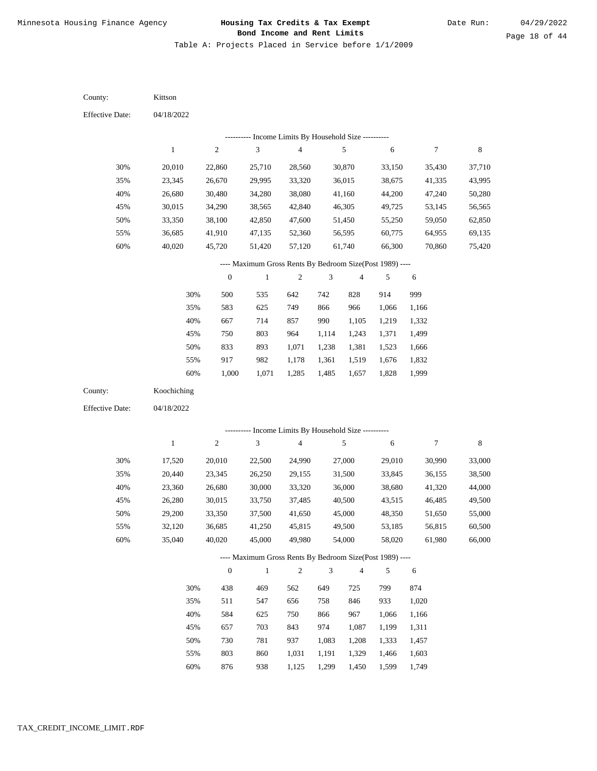Table A: Projects Placed in Service before 1/1/2009

| County:                | Kittson      |                  |                                                                          |                         |                             |                |                |                  |        |
|------------------------|--------------|------------------|--------------------------------------------------------------------------|-------------------------|-----------------------------|----------------|----------------|------------------|--------|
| <b>Effective Date:</b> | 04/18/2022   |                  |                                                                          |                         |                             |                |                |                  |        |
|                        |              |                  | --------- Income Limits By Household Size ----------                     |                         |                             |                |                |                  |        |
|                        | $\mathbf{1}$ | $\sqrt{2}$       | $\mathfrak{Z}$                                                           | 4                       |                             | 5              | 6              | $\boldsymbol{7}$ | 8      |
| 30%                    | 20,010       | 22,860           | 25,710                                                                   | 28,560                  |                             | 30,870         | 33,150         | 35,430           | 37,710 |
| 35%                    | 23,345       | 26,670           | 29,995                                                                   | 33,320                  |                             | 36,015         | 38,675         | 41,335           | 43,995 |
| 40%                    | 26,680       | 30,480           | 34,280                                                                   | 38,080                  |                             | 41,160         | 44,200         | 47,240           | 50,280 |
| 45%                    | 30,015       | 34,290           | 38,565                                                                   | 42,840                  |                             | 46,305         | 49,725         | 53,145           | 56,565 |
| 50%                    | 33,350       | 38,100           | 42,850                                                                   | 47,600                  |                             | 51,450         | 55,250         | 59,050           | 62,850 |
| 55%                    | 36,685       | 41,910           | 47,135                                                                   | 52,360                  |                             | 56,595         | 60,775         | 64,955           | 69,135 |
| 60%                    | 40,020       | 45,720           | 51,420                                                                   | 57,120                  |                             | 61,740         | 66,300         | 70,860           | 75,420 |
|                        |              |                  | ---- Maximum Gross Rents By Bedroom Size(Post 1989) ----                 |                         |                             |                |                |                  |        |
|                        |              | $\boldsymbol{0}$ | $\mathbf{1}$                                                             | $\boldsymbol{2}$        | 3                           | $\overline{4}$ | 5              | 6                |        |
|                        | 30%          | 500              | 535                                                                      | 642                     | 742                         | 828            | 914            | 999              |        |
|                        | 35%          | 583              | 625                                                                      | 749                     | 866                         | 966            | 1,066          | 1,166            |        |
|                        | 40%          | 667              | 714                                                                      | 857                     | 990                         | 1,105          | 1,219          | 1,332            |        |
|                        | 45%          | 750              | 803                                                                      | 964                     | 1,114                       | 1,243          | 1,371          | 1,499            |        |
|                        | 50%          | 833              | 893                                                                      | 1,071                   | 1,238                       | 1,381          | 1,523          | 1,666            |        |
|                        | 55%          | 917              | 982                                                                      | 1,178                   | 1,361                       | 1,519          | 1,676          | 1,832            |        |
|                        | 60%          | 1,000            | 1,071                                                                    | 1,285                   | 1,485                       | 1,657          | 1,828          | 1,999            |        |
|                        |              |                  |                                                                          |                         |                             |                |                |                  |        |
| County:                | Koochiching  |                  |                                                                          |                         |                             |                |                |                  |        |
| <b>Effective Date:</b> | 04/18/2022   |                  |                                                                          |                         |                             |                |                |                  |        |
|                        |              |                  |                                                                          |                         |                             |                |                |                  |        |
|                        |              |                  | --------- Income Limits By Household Size ----------                     |                         |                             |                |                |                  |        |
|                        | $\mathbf{1}$ | $\sqrt{2}$       | $\sqrt{3}$                                                               | $\overline{\mathbf{4}}$ |                             | 5              | 6              | $\overline{7}$   | 8      |
| 30%                    | 17,520       | 20,010           | 22,500                                                                   | 24,990                  |                             | 27,000         | 29,010         | 30,990           | 33,000 |
| 35%                    | 20,440       | 23,345           | 26,250                                                                   | 29,155                  |                             | 31,500         | 33,845         | 36,155           | 38,500 |
| 40%                    | 23,360       | 26,680           | 30,000                                                                   | 33,320                  |                             | 36,000         | 38,680         | 41,320           | 44,000 |
| 45%                    | 26,280       | 30,015           | 33,750                                                                   | 37,485                  |                             | 40,500         | 43,515         | 46,485           | 49,500 |
| 50%                    | 29,200       | 33,350           | 37,500                                                                   | 41,650                  |                             | 45,000         | 48,350         | 51,650           | 55,000 |
| 55%                    | 32,120       | 36,685           | 41,250                                                                   | 45,815                  |                             | 49,500         | 53,185         | 56,815           | 60,500 |
| 60%                    | 35,040       | 40,020           | 45,000                                                                   | 49,980                  |                             | 54,000         | 58,020         | 61,980           | 66,000 |
|                        |              | $\mathbf{0}$     | ---- Maximum Gross Rents By Bedroom Size(Post 1989) ----<br>$\mathbf{1}$ | $\overline{c}$          | $\ensuremath{\mathfrak{Z}}$ | $\overline{4}$ | 5              |                  |        |
|                        |              |                  |                                                                          |                         |                             |                |                | 6                |        |
|                        | 30%          | 438              | 469                                                                      | 562                     | 649                         | 725            | 799            | 874              |        |
|                        | 35%          | 511              | 547                                                                      | 656                     | 758                         | 846            | 933            | 1,020            |        |
|                        | 40%          | 584<br>657       | 625                                                                      | 750                     | 866                         | 967            | 1,066          | 1,166            |        |
|                        | 45%          |                  | 703                                                                      | 843                     | 974                         | 1,087          | 1,199          | 1,311            |        |
|                        | 50%<br>55%   | 730<br>803       | 781<br>860                                                               | 937<br>1,031            | 1,083<br>1,191              | 1,208<br>1,329 | 1,333<br>1,466 | 1,457<br>1,603   |        |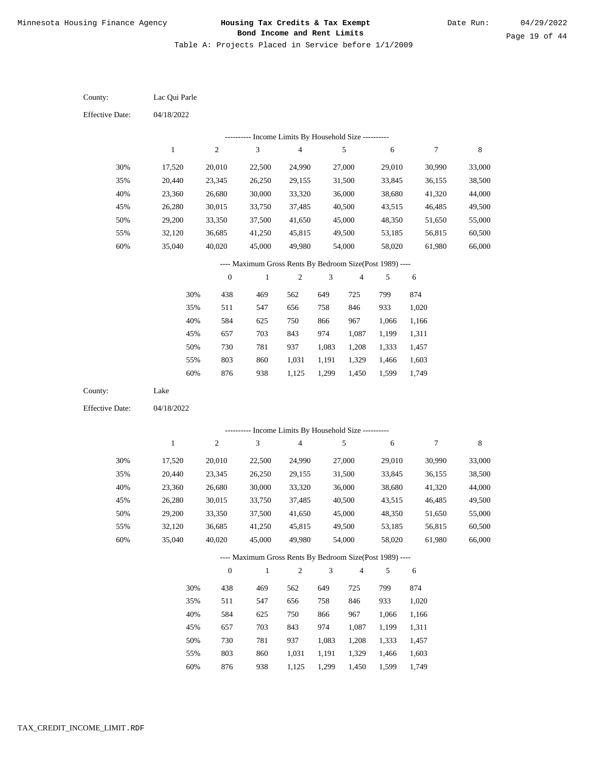Table A: Projects Placed in Service before 1/1/2009

04/18/2022 04/18/2022 Lac Qui Parle Lake 30% 35% 40% 45% 50% 55% 60% 30% 35% 40% 45% 50% 55% 60% 17,520 20,440 23,360 26,280 29,200 32,120 35,040 17,520 20,440 23,360 26,280 29,200 32,120 35,040 20,010 23,345 26,680 30,015 33,350 36,685 40,020 20,010 23,345 26,680 30,015 33,350 36,685 40,020 22,500 26,250 30,000 33,750 37,500 41,250 45,000 22,500 26,250 30,000 33,750 37,500 41,250 45,000 24,990 29,155 33,320 37,485 41,650 45,815 49,980 24,990 29,155 33,320 37,485 41,650 45,815 49,980 27,000 31,500 36,000 40,500 45,000 49,500 54,000 27,000 31,500 36,000 40,500 45,000 49,500 54,000 29,010 33,845 38,680 43,515 48,350 53,185 58,020 29,010 33,845 38,680 43,515 48,350 53,185 58,020 30,990 36,155 41,320 46,485 51,650 56,815 61,980 30,990 36,155 41,320 46,485 51,650 56,815 61,980 33,000 38,500 44,000 49,500 55,000 60,500 66,000 33,000 38,500 44,000 49,500 55,000 60,500 66,000 438 511 584 657 730 803 876 438 511 584 657 730 803 876 469 547 625 703 781 860 938 469 547 625 703 781 860 938 562 656 750 843 937 1,031 1,125 562 656 750 843 937 1,031 1,125 649 758 866 974 1,083 1,191 1,299 649 758 866 974 1,083 1,191 1,299 725 846 967 1,087 1,208 1,329 1,450 725 846 967 1,087 1,208 1,329 1,450 799 933 1,066 1,199 1,333 1,466 1,599 799 933 1,066 1,199 1,333 1,466 1,599 874 1,020 1,166 1,311 1,457 1,603 1,749 874 1,020 1,166 1,311 1,457 1,603 1,749 County: County: Effective Date: Effective Date: 1 1 2 2 3 3 4 4 5 5 6 6 7 7 8 8 0 0 1 1 2 2 3 3 4 4 5 5 6 6 ---------- Income Limits By Household Size ---------- ---------- Income Limits By Household Size ---------- ---- Maximum Gross Rents By Bedroom Size(Post 1989) ---- ---- Maximum Gross Rents By Bedroom Size(Post 1989) ---- 30% 35% 40% 45% 50% 55% 60% 30% 35% 40% 45% 50% 55% 60%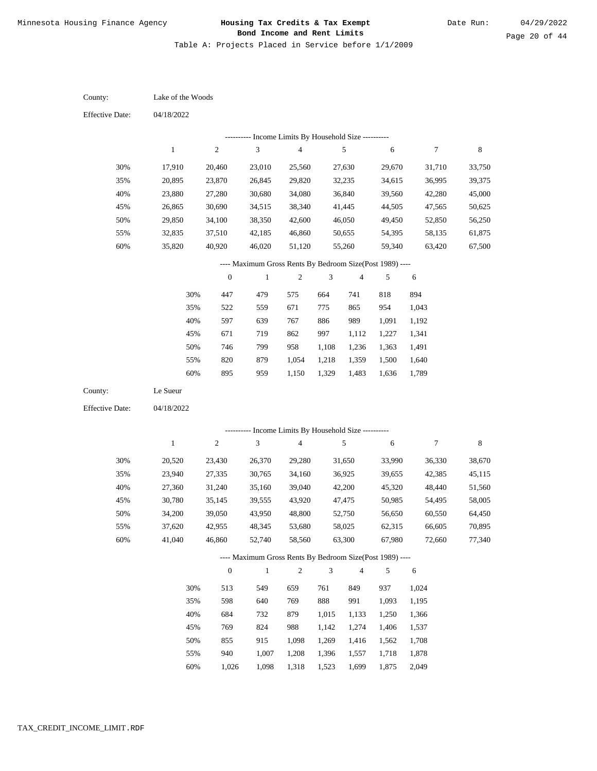Table A: Projects Placed in Service before 1/1/2009

04/18/2022 04/18/2022 Lake of the Woods Le Sueur 30% 35% 40% 45% 50% 55% 60% 30% 35% 40% 45% 50% 55% 60% 17,910 20,895 23,880 26,865 29,850 32,835 35,820 20,520 23,940 27,360 30,780 34,200 37,620 41,040 20,460 23,870 27,280 30,690 34,100 37,510 40,920 23,430 27,335 31,240 35,145 39,050 42,955 46,860 23,010 26,845 30,680 34,515 38,350 42,185 46,020 26,370 30,765 35,160 39,555 43,950 48,345 52,740 25,560 29,820 34,080 38,340 42,600 46,860 51,120 29,280 34,160 39,040 43,920 48,800 53,680 58,560 27,630 32,235 36,840 41,445 46,050 50,655 55,260 31,650 36,925 42,200 47,475 52,750 58,025 63,300 29,670 34,615 39,560 44,505 49,450 54,395 59,340 33,990 39,655 45,320 50,985 56,650 62,315 67,980 31,710 36,995 42,280 47,565 52,850 58,135 63,420 36,330 42,385 48,440 54,495 60,550 66,605 72,660 33,750 39,375 45,000 50,625 56,250 61,875 67,500 38,670 45,115 51,560 58,005 64,450 70,895 77,340 447 522 597 671 746 820 895 513 598 684 769 855 940 1,026 479 559 639 719 799 879 959 549 640 732 824 915 1,007 1,098 575 671 767 862 958 1,054 1,150 659 769 879 988 1,098 1,208 1,318 664 775 886 997 1,108 1,218 1,329 761 888 1,015 1,142 1,269 1,396 1,523 741 865 989 1,112 1,236 1,359 1,483 849 991 1,133 1,274 1,416 1,557 1,699 818 954 1,091 1,227 1,363 1,500 1,636 937 1,093 1,250 1,406 1,562 1,718 1,875 894 1,043 1,192 1,341 1,491 1,640 1,789 1,024 1,195 1,366 1,537 1,708 1,878 2,049 County: County: Effective Date: Effective Date: 1 1 2 2 3 3 4 4 5 5 6 6 7 7 8 8 0 0 1 1 2 2 3 3 4 4 5 5 6 6 ---------- Income Limits By Household Size ---------- ---------- Income Limits By Household Size ---------- ---- Maximum Gross Rents By Bedroom Size(Post 1989) ---- ---- Maximum Gross Rents By Bedroom Size(Post 1989) ---- 30% 35% 40% 45% 50% 55% 60% 30% 35% 40% 45% 50% 55% 60%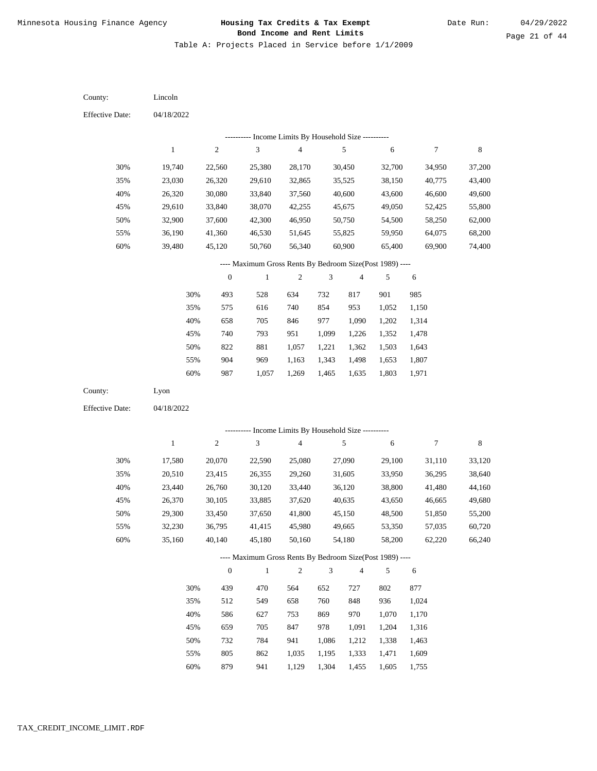Table A: Projects Placed in Service before 1/1/2009

04/18/2022 04/18/2022 Lincoln Lyon 30% 35% 40% 45% 50% 55% 60% 30% 35% 40% 45% 50% 55% 60% 19,740 23,030 26,320 29,610 32,900 36,190 39,480 17,580 20,510 23,440 26,370 29,300 32,230 35,160 22,560 26,320 30,080 33,840 37,600 41,360 45,120 20,070 23,415 26,760 30,105 33,450 36,795 40,140 25,380 29,610 33,840 38,070 42,300 46,530 50,760 22,590 26,355 30,120 33,885 37,650 41,415 45,180 28,170 32,865 37,560 42,255 46,950 51,645 56,340 25,080 29,260 33,440 37,620 41,800 45,980 50,160 30,450 35,525 40,600 45,675 50,750 55,825 60,900 27,090 31,605 36,120 40,635 45,150 49,665 54,180 32,700 38,150 43,600 49,050 54,500 59,950 65,400 29,100 33,950 38,800 43,650 48,500 53,350 58,200 34,950 40,775 46,600 52,425 58,250 64,075 69,900 31,110 36,295 41,480 46,665 51,850 57,035 62,220 37,200 43,400 49,600 55,800 62,000 68,200 74,400 33,120 38,640 44,160 49,680 55,200 60,720 66,240 493 575 658 740 822 904 987 439 512 586 659 732 805 879 528 616 705 793 881 969 1,057 470 549 627 705 784 862 941 634 740 846 951 1,057 1,163 1,269 564 658 753 847 941 1,035 1,129 732 854 977 1,099 1,221 1,343 1,465 652 760 869 978 1,086 1,195 1,304 817 953 1,090 1,226 1,362 1,498 1,635 727 848 970 1,091 1,212 1,333 1,455 901 1,052 1,202 1,352 1,503 1,653 1,803 802 936 1,070 1,204 1,338 1,471 1,605 985 1,150 1,314 1,478 1,643 1,807 1,971 877 1,024 1,170 1,316 1,463 1,609 1,755 County: County: Effective Date: Effective Date: 1 1 2 2 3 3 4 4 5 5 6 6 7 7 8 8 0 0 1 1 2 2 3 3 4 4 5 5 6 6 ---------- Income Limits By Household Size ---------- ---------- Income Limits By Household Size ---------- ---- Maximum Gross Rents By Bedroom Size(Post 1989) ---- ---- Maximum Gross Rents By Bedroom Size(Post 1989) ---- 30% 35% 40% 45% 50% 55% 60% 30% 35% 40% 45% 50% 55% 60%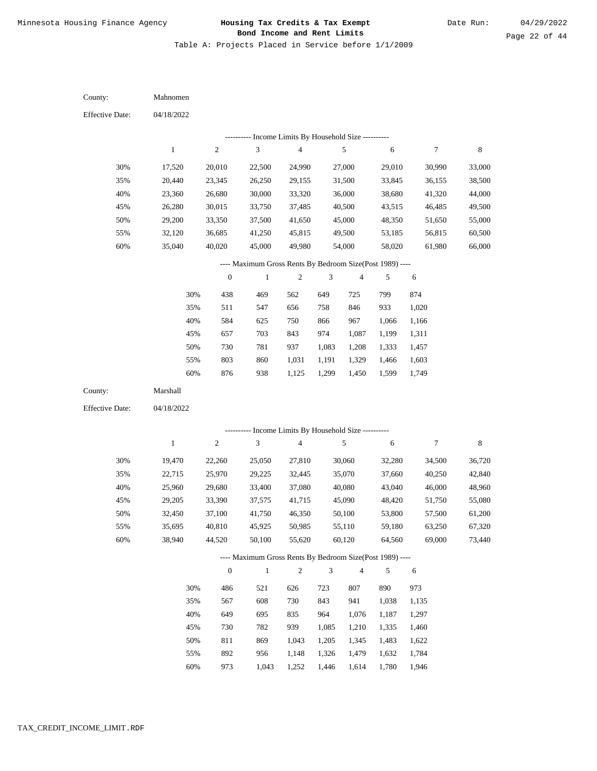Table A: Projects Placed in Service before 1/1/2009

04/18/2022 04/18/2022 Mahnomen Marshall 30% 35% 40% 45% 50% 55% 60% 30% 35% 40% 45% 50% 55% 60% 17,520 20,440 23,360 26,280 29,200 32,120 35,040 19,470 22,715 25,960 29,205 32,450 35,695 38,940 20,010 23,345 26,680 30,015 33,350 36,685 40,020 22,260 25,970 29,680 33,390 37,100 40,810 44,520 22,500 26,250 30,000 33,750 37,500 41,250 45,000 25,050 29,225 33,400 37,575 41,750 45,925 50,100 24,990 29,155 33,320 37,485 41,650 45,815 49,980 27,810 32,445 37,080 41,715 46,350 50,985 55,620 27,000 31,500 36,000 40,500 45,000 49,500 54,000 30,060 35,070 40,080 45,090 50,100 55,110 60,120 29,010 33,845 38,680 43,515 48,350 53,185 58,020 32,280 37,660 43,040 48,420 53,800 59,180 64,560 30,990 36,155 41,320 46,485 51,650 56,815 61,980 34,500 40,250 46,000 51,750 57,500 63,250 69,000 33,000 38,500 44,000 49,500 55,000 60,500 66,000 36,720 42,840 48,960 55,080 61,200 67,320 73,440 438 511 584 657 730 803 876 486 567 649 730 811 892 973 469 547 625 703 781 860 938 521 608 695 782 869 956 1,043 562 656 750 843 937 1,031 1,125 626 730 835 939 1,043 1,148 1,252 649 758 866 974 1,083 1,191 1,299 723 843 964 1,085 1,205 1,326 1,446 725 846 967 1,087 1,208 1,329 1,450 807 941 1,076 1,210 1,345 1,479 1,614 799 933 1,066 1,199 1,333 1,466 1,599 890 1,038 1,187 1,335 1,483 1,632 1,780 874 1,020 1,166 1,311 1,457 1,603 1,749 973 1,135 1,297 1,460 1,622 1,784 1,946 County: County: Effective Date: Effective Date: 1 1 2 2 3 3 4 4 5 5 6 6 7 7 8 8 0 0 1 1 2 2 3 3 4 4 5 5 6 6 ---------- Income Limits By Household Size ---------- ---------- Income Limits By Household Size ---------- ---- Maximum Gross Rents By Bedroom Size(Post 1989) ---- ---- Maximum Gross Rents By Bedroom Size(Post 1989) ---- 30% 35% 40% 45% 50% 55% 60% 30% 35% 40% 45% 50% 55% 60%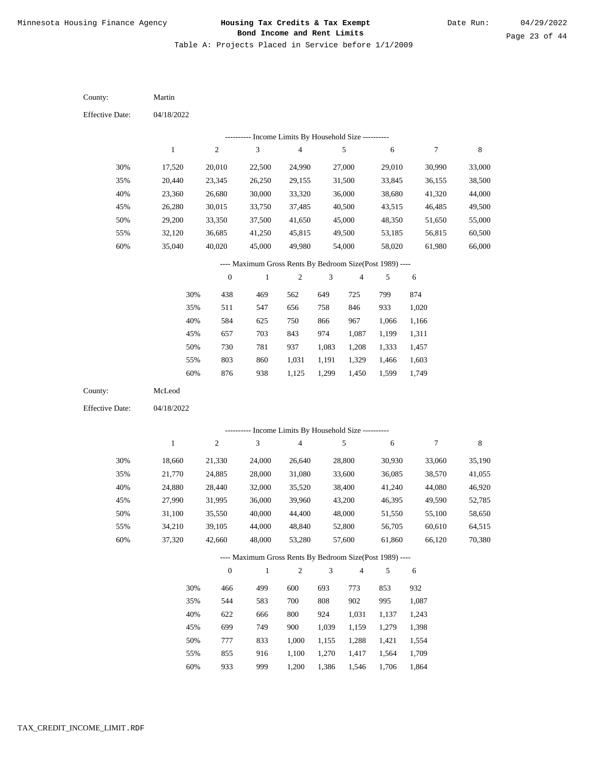Table A: Projects Placed in Service before 1/1/2009

04/18/2022 04/18/2022 Martin McLeod 30% 35% 40% 45% 50% 55% 60% 30% 35% 40% 45% 50% 55% 60% 17,520 20,440 23,360 26,280 29,200 32,120 35,040 18,660 21,770 24,880 27,990 31,100 34,210 37,320 20,010 23,345 26,680 30,015 33,350 36,685 40,020 21,330 24,885 28,440 31,995 35,550 39,105 42,660 22,500 26,250 30,000 33,750 37,500 41,250 45,000 24,000 28,000 32,000 36,000 40,000 44,000 48,000 24,990 29,155 33,320 37,485 41,650 45,815 49,980 26,640 31,080 35,520 39,960 44,400 48,840 53,280 27,000 31,500 36,000 40,500 45,000 49,500 54,000 28,800 33,600 38,400 43,200 48,000 52,800 57,600 29,010 33,845 38,680 43,515 48,350 53,185 58,020 30,930 36,085 41,240 46,395 51,550 56,705 61,860 30,990 36,155 41,320 46,485 51,650 56,815 61,980 33,060 38,570 44,080 49,590 55,100 60,610 66,120 33,000 38,500 44,000 49,500 55,000 60,500 66,000 35,190 41,055 46,920 52,785 58,650 64,515 70,380 438 511 584 657 730 803 876 466 544 622 699 777 855 933 469 547 625 703 781 860 938 499 583 666 749 833 916 999 562 656 750 843 937 1,031 1,125 600 700 800 900 1,000 1,100 1,200 649 758 866 974 1,083 1,191 1,299 693 808 924 1,039 1,155 1,270 1,386 725 846 967 1,087 1,208 1,329 1,450 773 902 1,031 1,159 1,288 1,417 1,546 799 933 1,066 1,199 1,333 1,466 1,599 853 995 1,137 1,279 1,421 1,564 1,706 874 1,020 1,166 1,311 1,457 1,603 1,749 932 1,087 1,243 1,398 1,554 1,709 1,864 County: County: Effective Date: Effective Date: 1 1 2 2 3 3 4 4 5 5 6 6 7 7 8 8 0 0 1 1 2 2 3 3 4 4 5 5 6 6 ---------- Income Limits By Household Size ---------- ---------- Income Limits By Household Size ---------- ---- Maximum Gross Rents By Bedroom Size(Post 1989) ---- ---- Maximum Gross Rents By Bedroom Size(Post 1989) ---- 30% 35% 40% 45% 50% 55% 60% 30% 35% 40% 45% 50% 55% 60%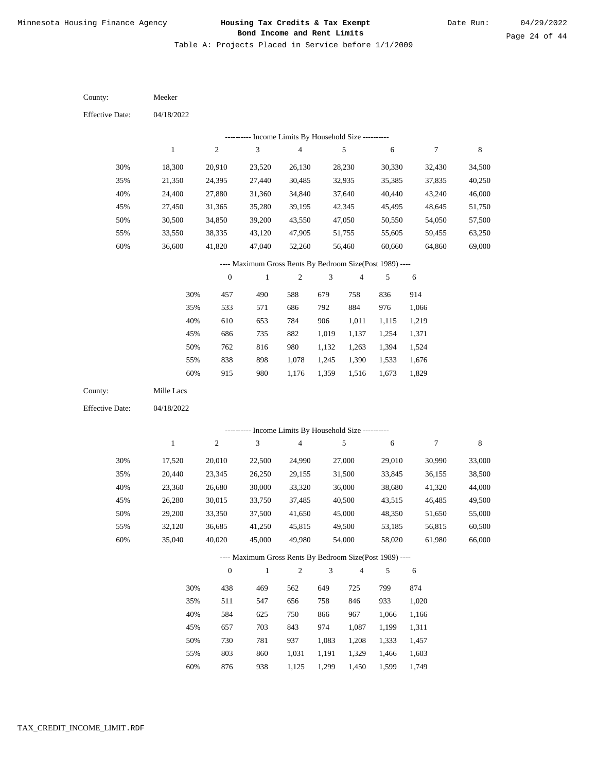Table A: Projects Placed in Service before 1/1/2009

04/18/2022 04/18/2022 Meeker Mille Lacs 30% 35% 40% 45% 50% 55% 60% 30% 35% 40% 45% 50% 55% 60% 18,300 21,350 24,400 27,450 30,500 33,550 36,600 17,520 20,440 23,360 26,280 29,200 32,120 35,040 20,910 24,395 27,880 31,365 34,850 38,335 41,820 20,010 23,345 26,680 30,015 33,350 36,685 40,020 23,520 27,440 31,360 35,280 39,200 43,120 47,040 22,500 26,250 30,000 33,750 37,500 41,250 45,000 26,130 30,485 34,840 39,195 43,550 47,905 52,260 24,990 29,155 33,320 37,485 41,650 45,815 49,980 28,230 32,935 37,640 42,345 47,050 51,755 56,460 27,000 31,500 36,000 40,500 45,000 49,500 54,000 30,330 35,385 40,440 45,495 50,550 55,605 60,660 29,010 33,845 38,680 43,515 48,350 53,185 58,020 32,430 37,835 43,240 48,645 54,050 59,455 64,860 30,990 36,155 41,320 46,485 51,650 56,815 61,980 34,500 40,250 46,000 51,750 57,500 63,250 69,000 33,000 38,500 44,000 49,500 55,000 60,500 66,000 457 533 610 686 762 838 915 438 511 584 657 730 803 876 490 571 653 735 816 898 980 469 547 625 703 781 860 938 588 686 784 882 980 1,078 1,176 562 656 750 843 937 1,031 1,125 679 792 906 1,019 1,132 1,245 1,359 649 758 866 974 1,083 1,191 1,299 758 884 1,011 1,137 1,263 1,390 1,516 725 846 967 1,087 1,208 1,329 1,450 836 976 1,115 1,254 1,394 1,533 1,673 799 933 1,066 1,199 1,333 1,466 1,599 914 1,066 1,219 1,371 1,524 1,676 1,829 874 1,020 1,166 1,311 1,457 1,603 1,749 County: County: Effective Date: Effective Date: 1 1 2 2 3 3 4 4 5 5 6 6 7 7 8 8 0 0 1 1 2 2 3 3 4 4 5 5 6 6 ---------- Income Limits By Household Size ---------- ---------- Income Limits By Household Size ---------- ---- Maximum Gross Rents By Bedroom Size(Post 1989) ---- ---- Maximum Gross Rents By Bedroom Size(Post 1989) ---- 30% 35% 40% 45% 50% 55% 60% 30% 35% 40% 45% 50% 55% 60%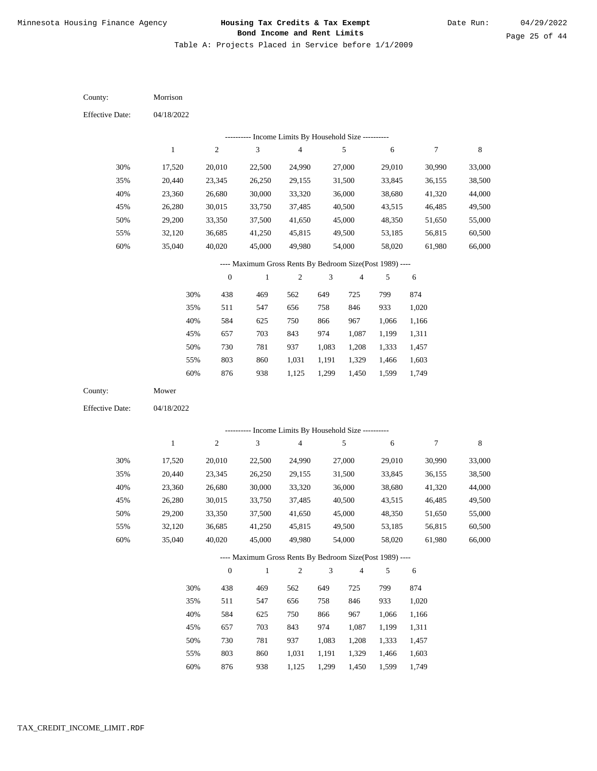Table A: Projects Placed in Service before 1/1/2009

| County:                | Morrison     |                  |                                                          |                         |                             |                |        |        |             |
|------------------------|--------------|------------------|----------------------------------------------------------|-------------------------|-----------------------------|----------------|--------|--------|-------------|
| <b>Effective Date:</b> | 04/18/2022   |                  |                                                          |                         |                             |                |        |        |             |
|                        |              |                  | --------- Income Limits By Household Size ----------     |                         |                             |                |        |        |             |
|                        | $\,1$        | $\sqrt{2}$       | $\mathfrak{Z}$                                           | $\sqrt{4}$              |                             | $\sqrt{5}$     | 6      | 7      | $\,8\,$     |
| 30%                    | 17,520       | 20,010           | 22,500                                                   | 24,990                  |                             | 27,000         | 29,010 | 30,990 | 33,000      |
| 35%                    | 20,440       | 23,345           | 26,250                                                   | 29,155                  |                             | 31,500         | 33,845 | 36,155 | 38,500      |
| 40%                    | 23,360       | 26,680           | 30,000                                                   | 33,320                  |                             | 36,000         | 38,680 | 41,320 | 44,000      |
| 45%                    | 26,280       | 30,015           | 33,750                                                   | 37,485                  |                             | 40,500         | 43,515 | 46,485 | 49,500      |
| 50%                    | 29,200       | 33,350           | 37,500                                                   | 41,650                  |                             | 45,000         | 48,350 | 51,650 | 55,000      |
| 55%                    | 32,120       | 36,685           | 41,250                                                   | 45,815                  |                             | 49,500         | 53,185 | 56,815 | 60,500      |
| 60%                    | 35,040       | 40,020           | 45,000                                                   | 49,980                  |                             | 54,000         | 58,020 | 61,980 | 66,000      |
|                        |              |                  | ---- Maximum Gross Rents By Bedroom Size(Post 1989) ---- |                         |                             |                |        |        |             |
|                        |              | $\boldsymbol{0}$ | $\mathbf{1}$                                             | $\sqrt{2}$              | $\ensuremath{\mathfrak{Z}}$ | $\overline{4}$ | 5      | 6      |             |
|                        | 30%          | 438              | 469                                                      | 562                     | 649                         | 725            | 799    | 874    |             |
|                        | 35%          | 511              | 547                                                      | 656                     | 758                         | 846            | 933    | 1,020  |             |
|                        | 40%          | 584              | 625                                                      | 750                     | 866                         | 967            | 1,066  | 1,166  |             |
|                        | 45%          | 657              | 703                                                      | 843                     | 974                         | 1,087          | 1,199  | 1,311  |             |
|                        | 50%          | 730              | 781                                                      | 937                     | 1,083                       | 1,208          | 1,333  | 1,457  |             |
|                        | 55%          | 803              | 860                                                      | 1,031                   | 1,191                       | 1,329          | 1,466  | 1,603  |             |
|                        | 60%          | 876              | 938                                                      | 1,125                   | 1,299                       | 1,450          | 1,599  | 1,749  |             |
| County:                | Mower        |                  |                                                          |                         |                             |                |        |        |             |
| <b>Effective Date:</b> | 04/18/2022   |                  |                                                          |                         |                             |                |        |        |             |
|                        |              |                  | --------- Income Limits By Household Size ----------     |                         |                             |                |        |        |             |
|                        | $\mathbf{1}$ | $\sqrt{2}$       | $\mathfrak{Z}$                                           | $\overline{\mathbf{4}}$ |                             | 5              | 6      | 7      | $\,$ 8 $\,$ |
|                        |              |                  |                                                          |                         |                             |                |        |        |             |
| 30%                    | 17,520       | 20,010           | 22,500                                                   | 24,990                  |                             | 27,000         | 29,010 | 30,990 | 33,000      |
| 35%                    | 20,440       | 23,345           | 26,250                                                   | 29,155                  |                             | 31,500         | 33,845 | 36,155 | 38,500      |
| 40%                    | 23,360       | 26,680           | 30,000                                                   | 33,320                  |                             | 36,000         | 38,680 | 41,320 | 44,000      |
| 45%                    | 26,280       | 30,015           | 33,750                                                   | 37,485                  |                             | 40,500         | 43,515 | 46,485 | 49,500      |
| 50%                    | 29,200       | 33,350           | 37,500                                                   | 41,650                  |                             | 45,000         | 48,350 | 51,650 | 55,000      |
| 55%                    | 32,120       | 36,685           | 41,250                                                   | 45,815                  |                             | 49,500         | 53,185 | 56,815 | 60,500      |
| 60%                    | 35,040       | 40,020           | 45,000                                                   | 49,980                  |                             | 54,000         | 58,020 | 61,980 | 66,000      |
|                        |              |                  | ---- Maximum Gross Rents By Bedroom Size(Post 1989) ---- |                         |                             |                |        |        |             |
|                        |              | $\mathbf{0}$     | $\mathbf{1}$                                             | $\overline{c}$          | 3                           | $\overline{4}$ | 5      | 6      |             |
|                        | 30%          | 438              | 469                                                      | 562                     | 649                         | 725            | 799    | 874    |             |
|                        | 35%          | 511              | 547                                                      | 656                     | 758                         | 846            | 933    | 1,020  |             |
|                        | 40%          | 584              | 625                                                      | 750                     | 866                         | 967            | 1,066  | 1,166  |             |
|                        | 45%          | 657              | 703                                                      | 843                     | 974                         | 1,087          | 1,199  | 1,311  |             |
|                        | 50%          | 730              | 781                                                      | 937                     | 1,083                       | 1,208          | 1,333  | 1,457  |             |
|                        |              |                  |                                                          |                         |                             |                |        |        |             |
|                        | 55%          | 803              | 860                                                      | 1,031                   | 1,191                       | 1,329          | 1,466  | 1,603  |             |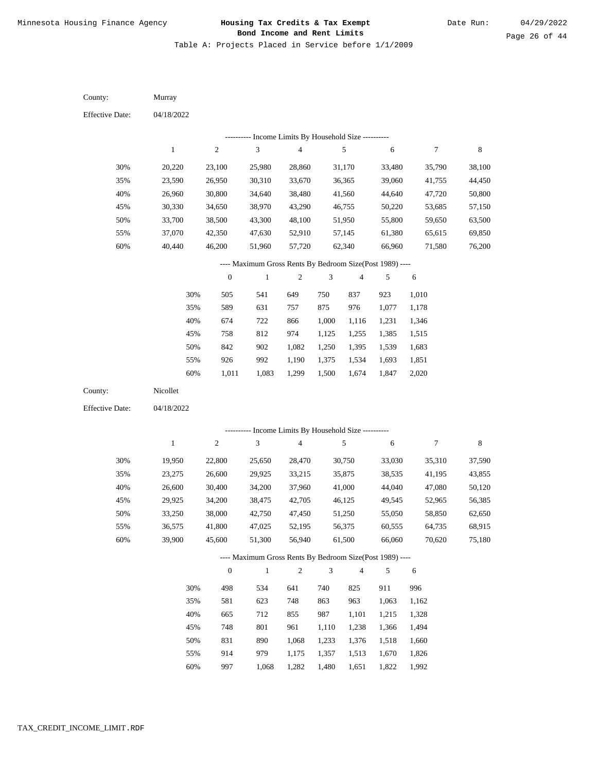Table A: Projects Placed in Service before 1/1/2009

| County:                | Murray           |                          |                                                                          |                                                                       |            |                  |                  |                  |                  |
|------------------------|------------------|--------------------------|--------------------------------------------------------------------------|-----------------------------------------------------------------------|------------|------------------|------------------|------------------|------------------|
| <b>Effective Date:</b> | 04/18/2022       |                          |                                                                          |                                                                       |            |                  |                  |                  |                  |
|                        |                  |                          | --------- Income Limits By Household Size ----------                     |                                                                       |            |                  |                  |                  |                  |
|                        | $\mathbf{1}$     | $\sqrt{2}$               | $\mathfrak{Z}$                                                           | 4                                                                     |            | 5                | 6                | 7                | 8                |
| 30%                    | 20,220           | 23,100                   | 25,980                                                                   | 28,860                                                                |            | 31,170           | 33,480           | 35,790           | 38,100           |
| 35%                    | 23,590           | 26,950                   | 30,310                                                                   | 33,670                                                                |            | 36,365           | 39,060           | 41,755           | 44,450           |
| 40%                    | 26,960           | 30,800                   | 34,640                                                                   | 38,480                                                                |            | 41,560           | 44,640           | 47,720           | 50,800           |
| 45%                    | 30,330           | 34,650                   | 38,970                                                                   | 43,290                                                                |            | 46,755           | 50,220           | 53,685           | 57,150           |
| 50%                    | 33,700           | 38,500                   | 43,300                                                                   | 48,100                                                                |            | 51,950           | 55,800           | 59,650           | 63,500           |
| 55%                    | 37,070           | 42,350                   | 47,630                                                                   | 52,910                                                                |            | 57,145           | 61,380           | 65,615           | 69,850           |
| 60%                    | 40,440           | 46,200                   | 51,960                                                                   | 57,720                                                                |            | 62,340           | 66,960           | 71,580           | 76,200           |
|                        |                  |                          | ---- Maximum Gross Rents By Bedroom Size(Post 1989) ----                 |                                                                       |            |                  |                  |                  |                  |
|                        |                  | $\boldsymbol{0}$         | $\mathbf{1}$                                                             | 2                                                                     | 3          | $\overline{4}$   | 5                | 6                |                  |
|                        | 30%              | 505                      | 541                                                                      | 649                                                                   | 750        | 837              | 923              | 1,010            |                  |
|                        | 35%              | 589                      | 631                                                                      | 757                                                                   | 875        | 976              | 1,077            | 1,178            |                  |
|                        | 40%              | 674                      | 722                                                                      | 866                                                                   | 1,000      | 1,116            | 1,231            | 1,346            |                  |
|                        | 45%              | 758                      | 812                                                                      | 974                                                                   | 1,125      | 1,255            | 1,385            | 1,515            |                  |
|                        | 50%              | 842                      | 902                                                                      | 1,082                                                                 | 1,250      | 1,395            | 1,539            | 1,683            |                  |
|                        | 55%              | 926                      | 992                                                                      | 1,190                                                                 | 1,375      | 1,534            | 1,693            | 1,851            |                  |
|                        | 60%              | 1,011                    | 1,083                                                                    | 1,299                                                                 | 1,500      | 1,674            | 1,847            | 2,020            |                  |
| County:                | Nicollet         |                          |                                                                          |                                                                       |            |                  |                  |                  |                  |
| <b>Effective Date:</b> | 04/18/2022       |                          |                                                                          |                                                                       |            |                  |                  |                  |                  |
|                        |                  |                          |                                                                          |                                                                       |            |                  |                  |                  |                  |
|                        | $\mathbf{1}$     | ----------<br>$\sqrt{2}$ | 3                                                                        | Income Limits By Household Size ----------<br>$\overline{\mathbf{4}}$ |            | 5                | 6                | $\overline{7}$   | 8                |
|                        |                  |                          |                                                                          |                                                                       |            |                  |                  |                  |                  |
| 30%                    | 19,950           | 22,800                   | 25,650                                                                   | 28,470                                                                |            | 30,750           | 33,030           | 35,310           | 37,590           |
| 35%                    | 23,275           | 26,600                   | 29,925                                                                   | 33,215                                                                |            | 35,875           | 38,535           | 41,195           | 43,855           |
| 40%                    | 26,600           | 30,400                   | 34,200                                                                   | 37,960                                                                |            | 41,000           | 44,040           | 47,080           | 50,120           |
| 45%                    | 29,925           | 34,200                   | 38,475                                                                   | 42,705                                                                |            | 46,125           | 49,545           | 52,965           | 56,385           |
| 50%                    | 33,250           | 38,000                   | 42,750                                                                   | 47,450                                                                |            | 51,250           | 55,050           | 58,850           | 62,650           |
| 55%<br>60%             | 36,575<br>39,900 | 41,800<br>45,600         | 47,025<br>51,300                                                         | 52,195<br>56,940                                                      |            | 56,375<br>61,500 | 60,555<br>66,060 | 64,735<br>70,620 | 68,915<br>75,180 |
|                        |                  |                          |                                                                          |                                                                       |            |                  |                  |                  |                  |
|                        |                  | $\boldsymbol{0}$         | ---- Maximum Gross Rents By Bedroom Size(Post 1989) ----<br>$\mathbf{1}$ | $\overline{c}$                                                        | $\sqrt{3}$ | $\overline{4}$   | 5                |                  |                  |
|                        |                  |                          |                                                                          |                                                                       |            |                  |                  | 6                |                  |
|                        | 30%              | 498                      | 534                                                                      | 641                                                                   | 740        | 825              | 911              | 996              |                  |
|                        | 35%              | 581                      | 623                                                                      | 748                                                                   | 863        | 963              | 1,063            | 1,162            |                  |
|                        | 40%              | 665                      | 712                                                                      | 855                                                                   | 987        | 1,101            | 1,215            | 1,328            |                  |
|                        | 45%              | 748                      | 801                                                                      | 961                                                                   | 1,110      | 1,238            | 1,366            | 1,494            |                  |
|                        | 50%              | 831                      | 890                                                                      | 1,068                                                                 | 1,233      | 1,376            | 1,518            | 1,660            |                  |
|                        | 55%              | 914                      | 979                                                                      | 1,175                                                                 | 1,357      | 1,513            | 1,670            | 1,826            |                  |

997 1,068 1,282 1,480 1,651 1,822 1,992 60%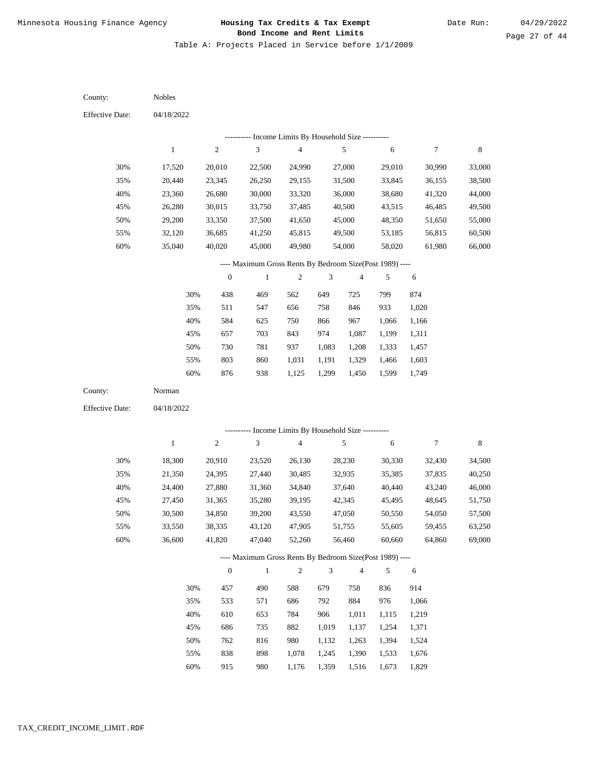Table A: Projects Placed in Service before 1/1/2009

04/18/2022 04/18/2022 Nobles Norman 30% 35% 40% 45% 50% 55% 60% 30% 35% 40% 45% 50% 55% 60% 17,520 20,440 23,360 26,280 29,200 32,120 35,040 18,300 21,350 24,400 27,450 30,500 33,550 36,600 20,010 23,345 26,680 30,015 33,350 36,685 40,020 20,910 24,395 27,880 31,365 34,850 38,335 41,820 22,500 26,250 30,000 33,750 37,500 41,250 45,000 23,520 27,440 31,360 35,280 39,200 43,120 47,040 24,990 29,155 33,320 37,485 41,650 45,815 49,980 26,130 30,485 34,840 39,195 43,550 47,905 52,260 27,000 31,500 36,000 40,500 45,000 49,500 54,000 28,230 32,935 37,640 42,345 47,050 51,755 56,460 29,010 33,845 38,680 43,515 48,350 53,185 58,020 30,330 35,385 40,440 45,495 50,550 55,605 60,660 30,990 36,155 41,320 46,485 51,650 56,815 61,980 32,430 37,835 43,240 48,645 54,050 59,455 64,860 33,000 38,500 44,000 49,500 55,000 60,500 66,000 34,500 40,250 46,000 51,750 57,500 63,250 69,000 438 511 584 657 730 803 876 457 533 610 686 762 838 915 469 547 625 703 781 860 938 490 571 653 735 816 898 980 562 656 750 843 937 1,031 1,125 588 686 784 882 980 1,078 1,176 649 758 866 974 1,083 1,191 1,299 679 792 906 1,019 1,132 1,245 1,359 725 846 967 1,087 1,208 1,329 1,450 758 884 1,011 1,137 1,263 1,390 1,516 799 933 1,066 1,199 1,333 1,466 1,599 836 976 1,115 1,254 1,394 1,533 1,673 874 1,020 1,166 1,311 1,457 1,603 1,749 914 1,066 1,219 1,371 1,524 1,676 1,829 County: County: Effective Date: Effective Date: 1 1 2 2 3 3 4 4 5 5 6 6 7 7 8 8 0 0 1 1 2 2 3 3 4 4 5 5 6 6 ---------- Income Limits By Household Size ---------- ---------- Income Limits By Household Size ---------- ---- Maximum Gross Rents By Bedroom Size(Post 1989) ---- ---- Maximum Gross Rents By Bedroom Size(Post 1989) ---- 30% 35% 40% 45% 50% 55% 60% 30% 35% 40% 45% 50% 55% 60%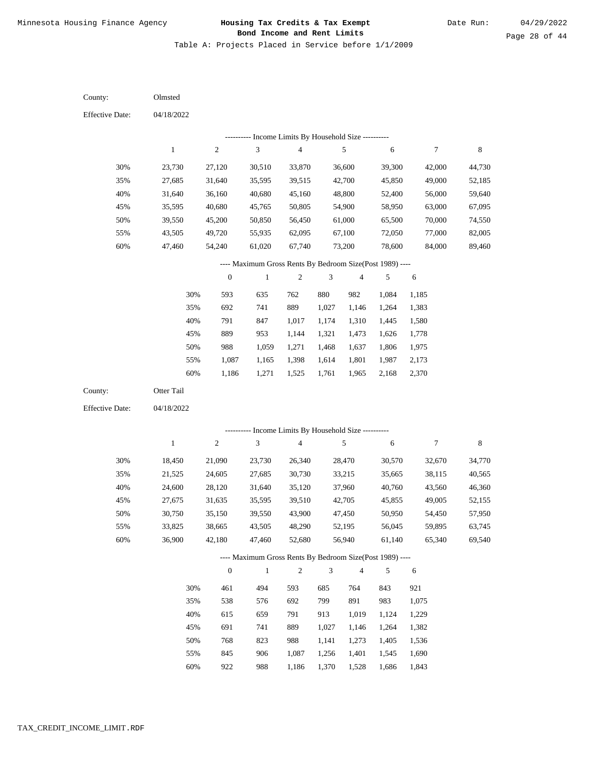Table A: Projects Placed in Service before 1/1/2009

04/18/2022 04/18/2022 Olmsted Otter Tail 30% 35% 40% 45% 50% 55% 60% 30% 35% 40% 45% 50% 55% 60% 23,730 27,685 31,640 35,595 39,550 43,505 47,460 18,450 21,525 24,600 27,675 30,750 33,825 36,900 27,120 31,640 36,160 40,680 45,200 49,720 54,240 21,090 24,605 28,120 31,635 35,150 38,665 42,180 30,510 35,595 40,680 45,765 50,850 55,935 61,020 23,730 27,685 31,640 35,595 39,550 43,505 47,460 33,870 39,515 45,160 50,805 56,450 62,095 67,740 26,340 30,730 35,120 39,510 43,900 48,290 52,680 36,600 42,700 48,800 54,900 61,000 67,100 73,200 28,470 33,215 37,960 42,705 47,450 52,195 56,940 39,300 45,850 52,400 58,950 65,500 72,050 78,600 30,570 35,665 40,760 45,855 50,950 56,045 61,140 42,000 49,000 56,000 63,000 70,000 77,000 84,000 32,670 38,115 43,560 49,005 54,450 59,895 65,340 44,730 52,185 59,640 67,095 74,550 82,005 89,460 34,770 40,565 46,360 52,155 57,950 63,745 69,540 593 692 791 889 988 1,087 1,186 461 538 615 691 768 845 922 635 741 847 953 1,059 1,165 1,271 494 576 659 741 823 906 988 762 889 1,017 1,144 1,271 1,398 1,525 593 692 791 889 988 1,087 1,186 880 1,027 1,174 1,321 1,468 1,614 1,761 685 799 913 1,027 1,141 1,256 1,370 982 1,146 1,310 1,473 1,637 1,801 1,965 764 891 1,019 1,146 1,273 1,401 1,528 1,084 1,264 1,445 1,626 1,806 1,987 2,168 843 983 1,124 1,264 1,405 1,545 1,686 1,185 1,383 1,580 1,778 1,975 2,173 2,370 921 1,075 1,229 1,382 1,536 1,690 1,843 County: County: Effective Date: Effective Date: 1 1 2 2 3 3 4 4 5 5 6 6 7 7 8 8 0 0 1 1 2 2 3 3 4 4 5 5 6 6 ---------- Income Limits By Household Size ---------- ---------- Income Limits By Household Size ---------- ---- Maximum Gross Rents By Bedroom Size(Post 1989) ---- ---- Maximum Gross Rents By Bedroom Size(Post 1989) ---- 30% 35% 40% 45% 50% 55% 60% 30% 35% 40% 45% 50% 55% 60%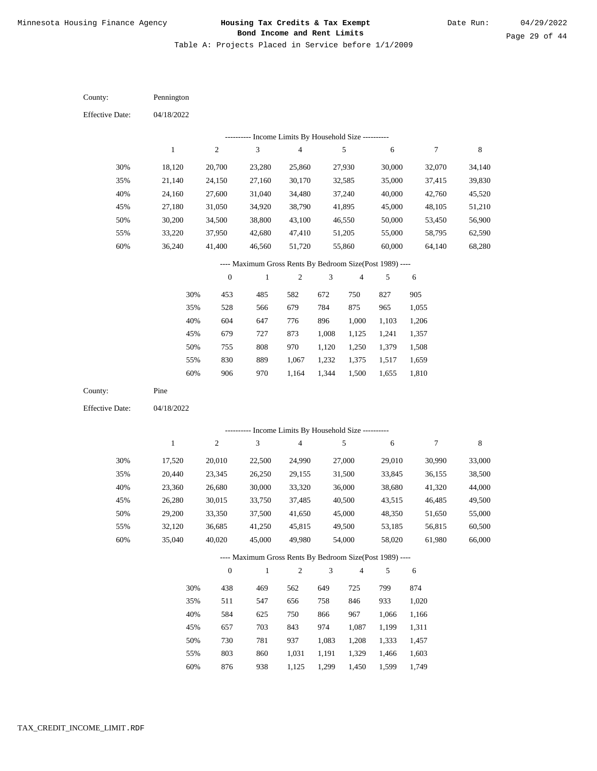Table A: Projects Placed in Service before 1/1/2009

04/18/2022 04/18/2022 Pennington Pine 30% 35% 40% 45% 50% 55% 60% 30% 35% 40% 45% 50% 55% 60% 18,120 21,140 24,160 27,180 30,200 33,220 36,240 17,520 20,440 23,360 26,280 29,200 32,120 35,040 20,700 24,150 27,600 31,050 34,500 37,950 41,400 20,010 23,345 26,680 30,015 33,350 36,685 40,020 23,280 27,160 31,040 34,920 38,800 42,680 46,560 22,500 26,250 30,000 33,750 37,500 41,250 45,000 25,860 30,170 34,480 38,790 43,100 47,410 51,720 24,990 29,155 33,320 37,485 41,650 45,815 49,980 27,930 32,585 37,240 41,895 46,550 51,205 55,860 27,000 31,500 36,000 40,500 45,000 49,500 54,000 30,000 35,000 40,000 45,000 50,000 55,000 60,000 29,010 33,845 38,680 43,515 48,350 53,185 58,020 32,070 37,415 42,760 48,105 53,450 58,795 64,140 30,990 36,155 41,320 46,485 51,650 56,815 61,980 34,140 39,830 45,520 51,210 56,900 62,590 68,280 33,000 38,500 44,000 49,500 55,000 60,500 66,000 453 528 604 679 755 830 906 438 511 584 657 730 803 876 485 566 647 727 808 889 970 469 547 625 703 781 860 938 582 679 776 873 970 1,067 1,164 562 656 750 843 937 1,031 1,125 672 784 896 1,008 1,120 1,232 1,344 649 758 866 974 1,083 1,191 1,299 750 875 1,000 1,125 1,250 1,375 1,500 725 846 967 1,087 1,208 1,329 1,450 827 965 1,103 1,241 1,379 1,517 1,655 799 933 1,066 1,199 1,333 1,466 1,599 905 1,055 1,206 1,357 1,508 1,659 1,810 874 1,020 1,166 1,311 1,457 1,603 1,749 County: County: Effective Date: Effective Date: 1 1 2 2 3 3 4 4 5 5 6 6 7 7 8 8 0 0 1 1 2 2 3 3 4 4 5 5 6 6 ---------- Income Limits By Household Size ---------- ---------- Income Limits By Household Size ---------- ---- Maximum Gross Rents By Bedroom Size(Post 1989) ---- ---- Maximum Gross Rents By Bedroom Size(Post 1989) ---- 30% 35% 40% 45% 50% 55% 60% 30% 35% 40% 45% 50% 55% 60%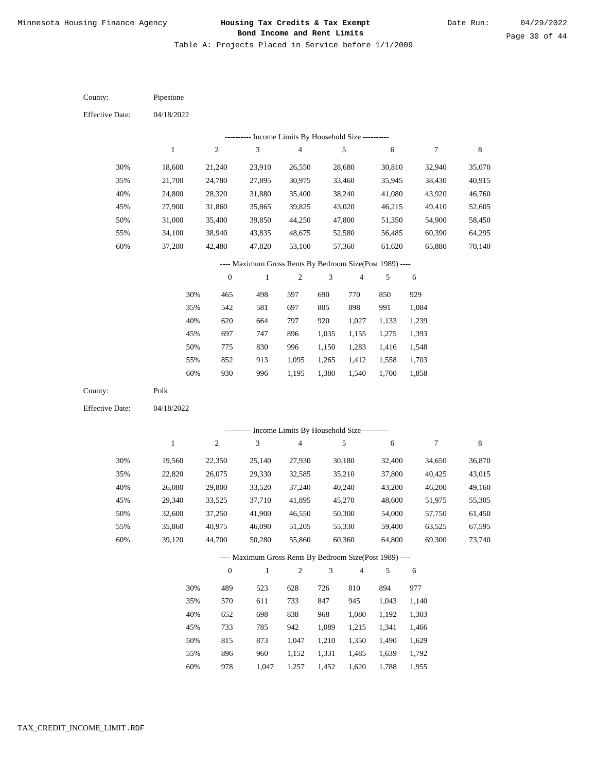Table A: Projects Placed in Service before 1/1/2009

04/18/2022 04/18/2022 Pipestone Polk 30% 35% 40% 45% 50% 55% 60% 30% 35% 40% 45% 50% 55% 60% 18,600 21,700 24,800 27,900 31,000 34,100 37,200 19,560 22,820 26,080 29,340 32,600 35,860 39,120 21,240 24,780 28,320 31,860 35,400 38,940 42,480 22,350 26,075 29,800 33,525 37,250 40,975 44,700 23,910 27,895 31,880 35,865 39,850 43,835 47,820 25,140 29,330 33,520 37,710 41,900 46,090 50,280 26,550 30,975 35,400 39,825 44,250 48,675 53,100 27,930 32,585 37,240 41,895 46,550 51,205 55,860 28,680 33,460 38,240 43,020 47,800 52,580 57,360 30,180 35,210 40,240 45,270 50,300 55,330 60,360 30,810 35,945 41,080 46,215 51,350 56,485 61,620 32,400 37,800 43,200 48,600 54,000 59,400 64,800 32,940 38,430 43,920 49,410 54,900 60,390 65,880 34,650 40,425 46,200 51,975 57,750 63,525 69,300 35,070 40,915 46,760 52,605 58,450 64,295 70,140 36,870 43,015 49,160 55,305 61,450 67,595 73,740 465 542 620 697 775 852 930 489 570 652 733 815 896 978 498 581 664 747 830 913 996 523 611 698 785 873 960 1,047 597 697 797 896 996 1,095 1,195 628 733 838 942 1,047 1,152 1,257 690 805 920 1,035 1,150 1,265 1,380 726 847 968 1,089 1,210 1,331 1,452 770 898 1,027 1,155 1,283 1,412 1,540 810 945 1,080 1,215 1,350 1,485 1,620 850 991 1,133 1,275 1,416 1,558 1,700 894 1,043 1,192 1,341 1,490 1,639 1,788 929 1,084 1,239 1,393 1,548 1,703 1,858 977 1,140 1,303 1,466 1,629 1,792 1,955 County: County: Effective Date: Effective Date: 1 1 2 2 3 3 4 4 5 5 6 6 7 7 8 8 0 0 1 1 2 2 3 3 4 4 5 5 6 6 ---------- Income Limits By Household Size ---------- ---------- Income Limits By Household Size ---------- ---- Maximum Gross Rents By Bedroom Size(Post 1989) ---- ---- Maximum Gross Rents By Bedroom Size(Post 1989) ---- 30% 35% 40% 45% 50% 55% 60% 30% 35% 40% 45% 50% 55% 60%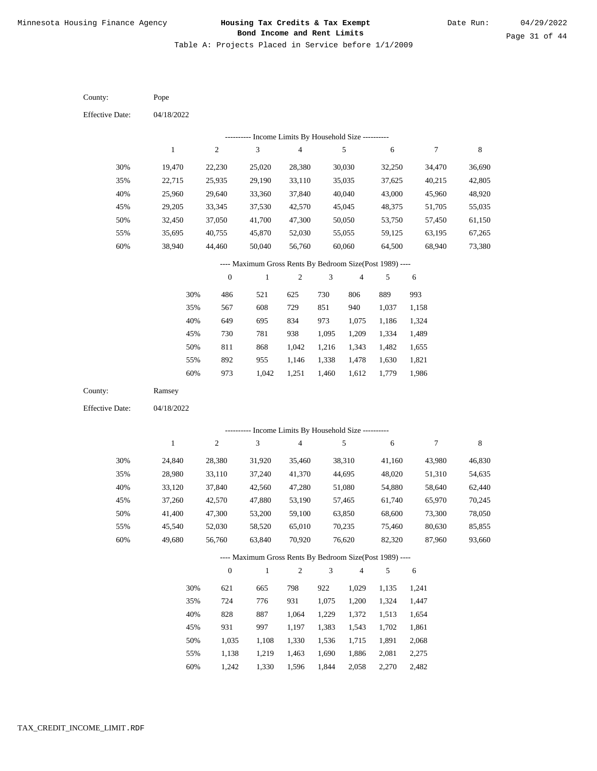Table A: Projects Placed in Service before 1/1/2009

04/18/2022 04/18/2022 Pope Ramsey 30% 35% 40% 45% 50% 55% 60% 30% 35% 40% 45% 50% 55% 60% 19,470 22,715 25,960 29,205 32,450 35,695 38,940 24,840 28,980 33,120 37,260 41,400 45,540 49,680 22,230 25,935 29,640 33,345 37,050 40,755 44,460 28,380 33,110 37,840 42,570 47,300 52,030 56,760 25,020 29,190 33,360 37,530 41,700 45,870 50,040 31,920 37,240 42,560 47,880 53,200 58,520 63,840 28,380 33,110 37,840 42,570 47,300 52,030 56,760 35,460 41,370 47,280 53,190 59,100 65,010 70,920 30,030 35,035 40,040 45,045 50,050 55,055 60,060 38,310 44,695 51,080 57,465 63,850 70,235 76,620 32,250 37,625 43,000 48,375 53,750 59,125 64,500 41,160 48,020 54,880 61,740 68,600 75,460 82,320 34,470 40,215 45,960 51,705 57,450 63,195 68,940 43,980 51,310 58,640 65,970 73,300 80,630 87,960 36,690 42,805 48,920 55,035 61,150 67,265 73,380 46,830 54,635 62,440 70,245 78,050 85,855 93,660 486 567 649 730 811 892 973 621 724 828 931 1,035 1,138 1,242 521 608 695 781 868 955 1,042 665 776 887 997 1,108 1,219 1,330 625 729 834 938 1,042 1,146 1,251 798 931 1,064 1,197 1,330 1,463 1,596 730 851 973 1,095 1,216 1,338 1,460 922 1,075 1,229 1,383 1,536 1,690 1,844 806 940 1,075 1,209 1,343 1,478 1,612 1,029 1,200 1,372 1,543 1,715 1,886 2,058 889 1,037 1,186 1,334 1,482 1,630 1,779 1,135 1,324 1,513 1,702 1,891 2,081 2,270 993 1,158 1,324 1,489 1,655 1,821 1,986 1,241 1,447 1,654 1,861 2,068 2,275 2,482 County: County: Effective Date: Effective Date: 1 1 2 2 3 3 4 4 5 5 6 6 7 7 8 8 0 0 1 1 2 2 3 3 4 4 5 5 6 6 ---------- Income Limits By Household Size ---------- ---------- Income Limits By Household Size ---------- ---- Maximum Gross Rents By Bedroom Size(Post 1989) ---- ---- Maximum Gross Rents By Bedroom Size(Post 1989) ---- 30% 35% 40% 45% 50% 55% 60% 30% 35% 40% 45% 50% 55% 60%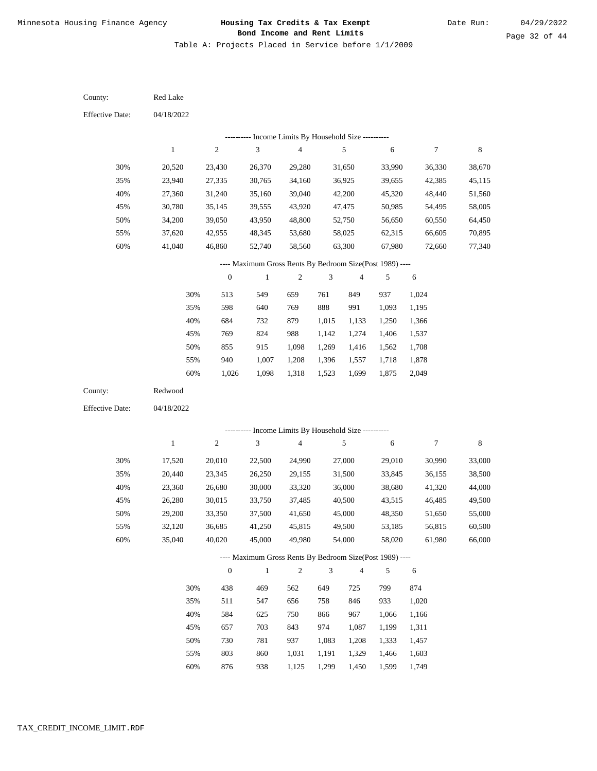Table A: Projects Placed in Service before 1/1/2009

04/18/2022 04/18/2022 Red Lake Redwood 30% 35% 40% 45% 50% 55% 60% 30% 35% 40% 45% 50% 55% 60% 20,520 23,940 27,360 30,780 34,200 37,620 41,040 17,520 20,440 23,360 26,280 29,200 32,120 35,040 23,430 27,335 31,240 35,145 39,050 42,955 46,860 20,010 23,345 26,680 30,015 33,350 36,685 40,020 26,370 30,765 35,160 39,555 43,950 48,345 52,740 22,500 26,250 30,000 33,750 37,500 41,250 45,000 29,280 34,160 39,040 43,920 48,800 53,680 58,560 24,990 29,155 33,320 37,485 41,650 45,815 49,980 31,650 36,925 42,200 47,475 52,750 58,025 63,300 27,000 31,500 36,000 40,500 45,000 49,500 54,000 33,990 39,655 45,320 50,985 56,650 62,315 67,980 29,010 33,845 38,680 43,515 48,350 53,185 58,020 36,330 42,385 48,440 54,495 60,550 66,605 72,660 30,990 36,155 41,320 46,485 51,650 56,815 61,980 38,670 45,115 51,560 58,005 64,450 70,895 77,340 33,000 38,500 44,000 49,500 55,000 60,500 66,000 513 598 684 769 855 940 1,026 438 511 584 657 730 803 876 549 640 732 824 915 1,007 1,098 469 547 625 703 781 860 938 659 769 879 988 1,098 1,208 1,318 562 656 750 843 937 1,031 1,125 761 888 1,015 1,142 1,269 1,396 1,523 649 758 866 974 1,083 1,191 1,299 849 991 1,133 1,274 1,416 1,557 1,699 725 846 967 1,087 1,208 1,329 1,450 937 1,093 1,250 1,406 1,562 1,718 1,875 799 933 1,066 1,199 1,333 1,466 1,599 1,024 1,195 1,366 1,537 1,708 1,878 2,049 874 1,020 1,166 1,311 1,457 1,603 1,749 County: County: Effective Date: Effective Date: 1 1 2 2 3 3 4 4 5 5 6 6 7 7 8 8 0 0 1 1 2 2 3 3 4 4 5 5 6 6 ---------- Income Limits By Household Size ---------- ---------- Income Limits By Household Size ---------- ---- Maximum Gross Rents By Bedroom Size(Post 1989) ---- ---- Maximum Gross Rents By Bedroom Size(Post 1989) ---- 30% 35% 40% 45% 50% 55% 60% 30% 35% 40% 45% 50% 55% 60%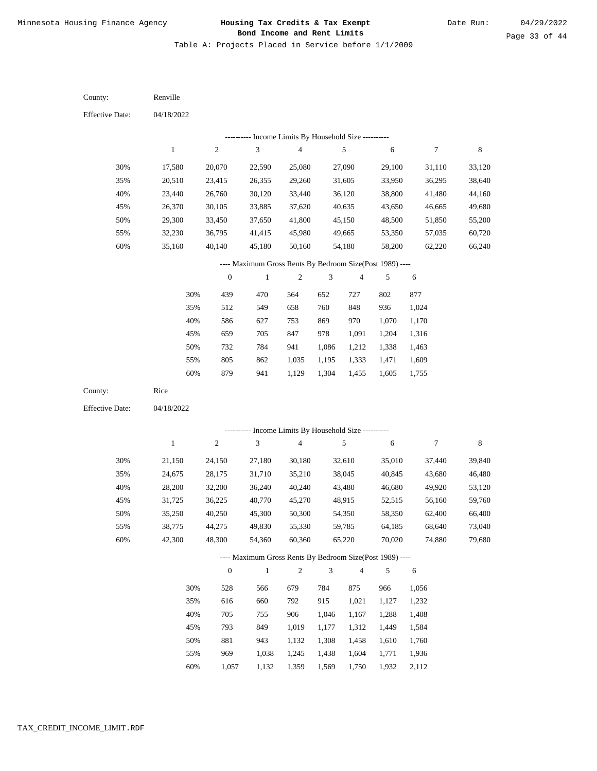Table A: Projects Placed in Service before 1/1/2009

04/18/2022 04/18/2022 Renville Rice 30% 35% 40% 45% 50% 55% 60% 30% 35% 40% 45% 50% 55% 60% 17,580 20,510 23,440 26,370 29,300 32,230 35,160 21,150 24,675 28,200 31,725 35,250 38,775 42,300 20,070 23,415 26,760 30,105 33,450 36,795 40,140 24,150 28,175 32,200 36,225 40,250 44,275 48,300 22,590 26,355 30,120 33,885 37,650 41,415 45,180 27,180 31,710 36,240 40,770 45,300 49,830 54,360 25,080 29,260 33,440 37,620 41,800 45,980 50,160 30,180 35,210 40,240 45,270 50,300 55,330 60,360 27,090 31,605 36,120 40,635 45,150 49,665 54,180 32,610 38,045 43,480 48,915 54,350 59,785 65,220 29,100 33,950 38,800 43,650 48,500 53,350 58,200 35,010 40,845 46,680 52,515 58,350 64,185 70,020 31,110 36,295 41,480 46,665 51,850 57,035 62,220 37,440 43,680 49,920 56,160 62,400 68,640 74,880 33,120 38,640 44,160 49,680 55,200 60,720 66,240 39,840 46,480 53,120 59,760 66,400 73,040 79,680 439 512 586 659 732 805 879 528 616 705 793 881 969 1,057 470 549 627 705 784 862 941 566 660 755 849 943 1,038 1,132 564 658 753 847 941 1,035 1,129 679 792 906 1,019 1,132 1,245 1,359 652 760 869 978 1,086 1,195 1,304 784 915 1,046 1,177 1,308 1,438 1,569 727 848 970 1,091 1,212 1,333 1,455 875 1,021 1,167 1,312 1,458 1,604 1,750 802 936 1,070 1,204 1,338 1,471 1,605 966 1,127 1,288 1,449 1,610 1,771 1,932 877 1,024 1,170 1,316 1,463 1,609 1,755 1,056 1,232 1,408 1,584 1,760 1,936 2,112 County: County: Effective Date: Effective Date: 1 1 2 2 3 3 4 4 5 5 6 6 7 7 8 8 0 0 1 1 2 2 3 3 4 4 5 5 6 6 ---------- Income Limits By Household Size ---------- ---------- Income Limits By Household Size ---------- ---- Maximum Gross Rents By Bedroom Size(Post 1989) ---- ---- Maximum Gross Rents By Bedroom Size(Post 1989) ---- 30% 35% 40% 45% 50% 55% 60% 30% 35% 40% 45% 50% 55% 60%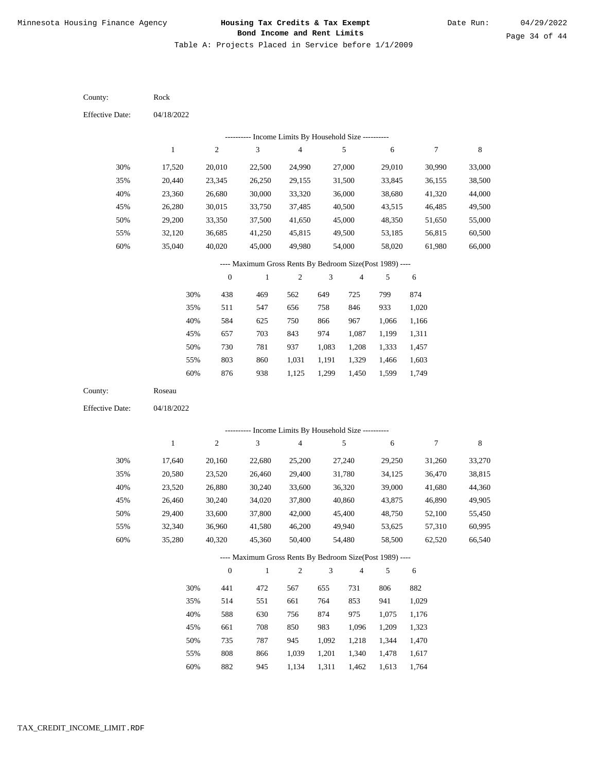Table A: Projects Placed in Service before 1/1/2009

| County:                | Rock             |                  |                                                          |                          |                |                         |                  |                  |                  |
|------------------------|------------------|------------------|----------------------------------------------------------|--------------------------|----------------|-------------------------|------------------|------------------|------------------|
| <b>Effective Date:</b> | 04/18/2022       |                  |                                                          |                          |                |                         |                  |                  |                  |
|                        |                  |                  | --------- Income Limits By Household Size ----------     |                          |                |                         |                  |                  |                  |
|                        | $\mathbf{1}$     | $\overline{c}$   | 3                                                        | $\overline{\mathcal{A}}$ |                | 5                       | 6                | 7                | 8                |
| 30%                    | 17,520           | 20,010           | 22,500                                                   | 24,990                   |                | 27,000                  | 29,010           | 30,990           | 33,000           |
| 35%                    | 20,440           | 23,345           | 26,250                                                   | 29,155                   |                | 31,500                  | 33,845           | 36,155           | 38,500           |
| 40%                    | 23,360           | 26,680           | 30,000                                                   | 33,320                   |                | 36,000                  | 38,680           | 41,320           | 44,000           |
| 45%                    | 26,280           | 30,015           | 33,750                                                   | 37,485                   |                | 40,500                  | 43,515           | 46,485           | 49,500           |
| 50%                    | 29,200           | 33,350           | 37,500                                                   | 41,650                   |                | 45,000                  | 48,350           | 51,650           | 55,000           |
| 55%                    | 32,120           | 36,685           | 41,250                                                   | 45,815                   |                | 49,500                  | 53,185           | 56,815           | 60,500           |
| 60%                    | 35,040           | 40,020           | 45,000                                                   | 49,980                   |                | 54,000                  | 58,020           | 61,980           | 66,000           |
|                        |                  |                  | ---- Maximum Gross Rents By Bedroom Size(Post 1989) ---- |                          |                |                         |                  |                  |                  |
|                        |                  | $\boldsymbol{0}$ | $\mathbf{1}$                                             | $\boldsymbol{2}$         | 3              | 4                       | 5                | 6                |                  |
|                        | 30%              | 438              | 469                                                      | 562                      | 649            | 725                     | 799              | 874              |                  |
|                        | 35%              | 511              | 547                                                      | 656                      | 758            | 846                     | 933              | 1,020            |                  |
|                        | 40%              | 584              | 625                                                      | 750                      | 866            | 967                     | 1,066            | 1,166            |                  |
|                        | 45%              | 657              | 703                                                      | 843                      | 974            | 1,087                   | 1,199            | 1,311            |                  |
|                        | 50%              | 730              | 781                                                      | 937                      | 1,083          | 1,208                   | 1,333            | 1,457            |                  |
|                        | 55%              | 803              | 860                                                      | 1,031                    | 1,191          | 1,329                   | 1,466            | 1,603            |                  |
|                        | 60%              | 876              | 938                                                      | 1,125                    | 1,299          | 1,450                   | 1,599            | 1,749            |                  |
| County:                | Roseau           |                  |                                                          |                          |                |                         |                  |                  |                  |
| <b>Effective Date:</b> | 04/18/2022       |                  |                                                          |                          |                |                         |                  |                  |                  |
|                        |                  |                  | --------- Income Limits By Household Size ----------     |                          |                |                         |                  |                  |                  |
|                        | $\mathbf{1}$     | $\boldsymbol{2}$ | 3                                                        | $\overline{\mathcal{A}}$ |                | 5                       | 6                | 7                | 8                |
|                        |                  |                  |                                                          |                          |                |                         |                  |                  |                  |
| 30%<br>35%             | 17,640           | 20,160           | 22,680<br>26,460                                         | 25,200                   |                | 27,240                  | 29,250           | 31,260           | 33,270           |
| 40%                    | 20,580<br>23,520 | 23,520<br>26,880 | 30,240                                                   | 29,400<br>33,600         |                | 31,780<br>36,320        | 34,125<br>39,000 | 36,470<br>41,680 | 38,815<br>44,360 |
| 45%                    | 26,460           | 30,240           | 34,020                                                   | 37,800                   |                | 40,860                  | 43,875           | 46,890           | 49,905           |
| 50%                    | 29,400           | 33,600           | 37,800                                                   | 42,000                   |                | 45,400                  | 48,750           | 52,100           | 55,450           |
| 55%                    | 32,340           | 36,960           | 41,580                                                   | 46,200                   |                | 49,940                  | 53,625           | 57,310           | 60,995           |
| 60%                    | 35,280           | 40,320           | 45,360                                                   | 50,400                   |                | 54,480                  | 58,500           | 62,520           | 66,540           |
|                        |                  |                  | ---- Maximum Gross Rents By Bedroom Size(Post 1989) ---- |                          |                |                         |                  |                  |                  |
|                        |                  | $\boldsymbol{0}$ | $\,1$                                                    | $\sqrt{2}$               | $\mathfrak{Z}$ | $\overline{\mathbf{4}}$ | 5                | 6                |                  |
|                        | 30%              | 441              | 472                                                      | 567                      | 655            | 731                     | 806              | 882              |                  |
|                        | 35%              | 514              | 551                                                      | 661                      | 764            | 853                     | 941              | 1,029            |                  |
|                        | 40%              | 588              | 630                                                      | 756                      | 874            | 975                     | 1,075            | 1,176            |                  |
|                        | 45%              | 661              | 708                                                      | 850                      | 983            | 1,096                   | 1,209            | 1,323            |                  |
|                        |                  |                  |                                                          |                          |                |                         |                  |                  |                  |
|                        | 50%              | 735              | 787                                                      | 945                      | 1,092          | 1,218                   | 1,344            | 1,470            |                  |
|                        | 55%              | 808              | 866                                                      | 1,039                    | 1,201          | 1,340                   | 1,478            | 1,617            |                  |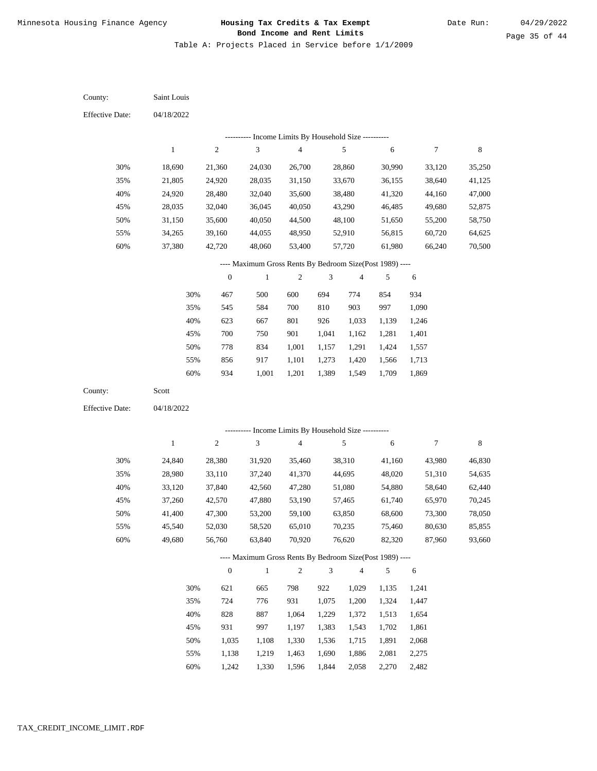Table A: Projects Placed in Service before 1/1/2009

04/18/2022 04/18/2022 Saint Louis Scott 30% 35% 40% 45% 50% 55% 60% 30% 35% 40% 45% 50% 55% 60% 18,690 21,805 24,920 28,035 31,150 34,265 37,380 24,840 28,980 33,120 37,260 41,400 45,540 49,680 21,360 24,920 28,480 32,040 35,600 39,160 42,720 28,380 33,110 37,840 42,570 47,300 52,030 56,760 24,030 28,035 32,040 36,045 40,050 44,055 48,060 31,920 37,240 42,560 47,880 53,200 58,520 63,840 26,700 31,150 35,600 40,050 44,500 48,950 53,400 35,460 41,370 47,280 53,190 59,100 65,010 70,920 28,860 33,670 38,480 43,290 48,100 52,910 57,720 38,310 44,695 51,080 57,465 63,850 70,235 76,620 30,990 36,155 41,320 46,485 51,650 56,815 61,980 41,160 48,020 54,880 61,740 68,600 75,460 82,320 33,120 38,640 44,160 49,680 55,200 60,720 66,240 43,980 51,310 58,640 65,970 73,300 80,630 87,960 35,250 41,125 47,000 52,875 58,750 64,625 70,500 46,830 54,635 62,440 70,245 78,050 85,855 93,660 467 545 623 700 778 856 934 621 724 828 931 1,035 1,138 1,242 500 584 667 750 834 917 1,001 665 776 887 997 1,108 1,219 1,330 600 700 801 901 1,001 1,101 1,201 798 931 1,064 1,197 1,330 1,463 1,596 694 810 926 1,041 1,157 1,273 1,389 922 1,075 1,229 1,383 1,536 1,690 1,844 774 903 1,033 1,162 1,291 1,420 1,549 1,029 1,200 1,372 1,543 1,715 1,886 2,058 854 997 1,139 1,281 1,424 1,566 1,709 1,135 1,324 1,513 1,702 1,891 2,081 2,270 934 1,090 1,246 1,401 1,557 1,713 1,869 1,241 1,447 1,654 1,861 2,068 2,275 2,482 County: County: Effective Date: Effective Date: 1 1 2 2 3 3 4 4 5 5 6 6 7 7 8 8 0 0 1 1 2 2 3 3 4 4 5 5 6 6 ---------- Income Limits By Household Size ---------- ---------- Income Limits By Household Size ---------- ---- Maximum Gross Rents By Bedroom Size(Post 1989) ---- ---- Maximum Gross Rents By Bedroom Size(Post 1989) ---- 30% 35% 40% 45% 50% 55% 60% 30% 35% 40% 45% 50% 55% 60%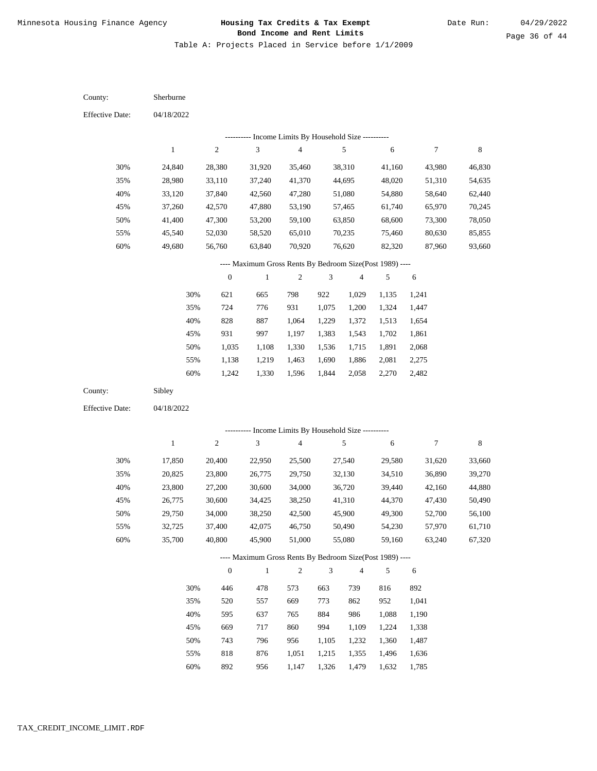Table A: Projects Placed in Service before 1/1/2009

04/18/2022 04/18/2022 Sherburne Sibley 30% 35% 40% 45% 50% 55% 60% 30% 35% 40% 45% 50% 55% 60% 24,840 28,980 33,120 37,260 41,400 45,540 49,680 17,850 20,825 23,800 26,775 29,750 32,725 35,700 28,380 33,110 37,840 42,570 47,300 52,030 56,760 20,400 23,800 27,200 30,600 34,000 37,400 40,800 31,920 37,240 42,560 47,880 53,200 58,520 63,840 22,950 26,775 30,600 34,425 38,250 42,075 45,900 35,460 41,370 47,280 53,190 59,100 65,010 70,920 25,500 29,750 34,000 38,250 42,500 46,750 51,000 38,310 44,695 51,080 57,465 63,850 70,235 76,620 27,540 32,130 36,720 41,310 45,900 50,490 55,080 41,160 48,020 54,880 61,740 68,600 75,460 82,320 29,580 34,510 39,440 44,370 49,300 54,230 59,160 43,980 51,310 58,640 65,970 73,300 80,630 87,960 31,620 36,890 42,160 47,430 52,700 57,970 63,240 46,830 54,635 62,440 70,245 78,050 85,855 93,660 33,660 39,270 44,880 50,490 56,100 61,710 67,320 621 724 828 931 1,035 1,138 1,242 446 520 595 669 743 818 892 665 776 887 997 1,108 1,219 1,330 478 557 637 717 796 876 956 798 931 1,064 1,197 1,330 1,463 1,596 573 669 765 860 956 1,051 1,147 922 1,075 1,229 1,383 1,536 1,690 1,844 663 773 884 994 1,105 1,215 1,326 1,029 1,200 1,372 1,543 1,715 1,886 2,058 739 862 986 1,109 1,232 1,355 1,479 1,135 1,324 1,513 1,702 1,891 2,081 2,270 816 952 1,088 1,224 1,360 1,496 1,632 1,241 1,447 1,654 1,861 2,068 2,275 2,482 892 1,041 1,190 1,338 1,487 1,636 1,785 County: County: Effective Date: Effective Date: 1 1 2 2 3 3 4 4 5 5 6 6 7 7 8 8 0 0 1 1 2 2 3 3 4 4 5 5 6 6 ---------- Income Limits By Household Size ---------- ---------- Income Limits By Household Size ---------- ---- Maximum Gross Rents By Bedroom Size(Post 1989) ---- ---- Maximum Gross Rents By Bedroom Size(Post 1989) ---- 30% 35% 40% 45% 50% 55% 60% 30% 35% 40% 45% 50% 55% 60%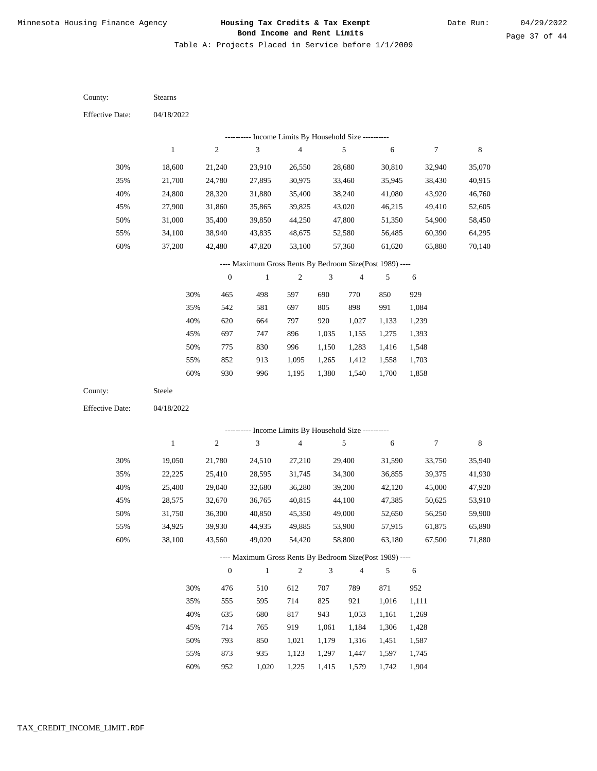Table A: Projects Placed in Service before 1/1/2009

04/18/2022 04/18/2022 Stearns Steele 30% 35% 40% 45% 50% 55% 60% 30% 35% 40% 45% 50% 55% 60% 18,600 21,700 24,800 27,900 31,000 34,100 37,200 19,050 22,225 25,400 28,575 31,750 34,925 38,100 21,240 24,780 28,320 31,860 35,400 38,940 42,480 21,780 25,410 29,040 32,670 36,300 39,930 43,560 23,910 27,895 31,880 35,865 39,850 43,835 47,820 24,510 28,595 32,680 36,765 40,850 44,935 49,020 26,550 30,975 35,400 39,825 44,250 48,675 53,100 27,210 31,745 36,280 40,815 45,350 49,885 54,420 28,680 33,460 38,240 43,020 47,800 52,580 57,360 29,400 34,300 39,200 44,100 49,000 53,900 58,800 30,810 35,945 41,080 46,215 51,350 56,485 61,620 31,590 36,855 42,120 47,385 52,650 57,915 63,180 32,940 38,430 43,920 49,410 54,900 60,390 65,880 33,750 39,375 45,000 50,625 56,250 61,875 67,500 35,070 40,915 46,760 52,605 58,450 64,295 70,140 35,940 41,930 47,920 53,910 59,900 65,890 71,880 465 542 620 697 775 852 930 476 555 635 714 793 873 952 498 581 664 747 830 913 996 510 595 680 765 850 935 1,020 597 697 797 896 996 1,095 1,195 612 714 817 919 1,021 1,123 1,225 690 805 920 1,035 1,150 1,265 1,380 707 825 943 1,061 1,179 1,297 1,415 770 898 1,027 1,155 1,283 1,412 1,540 789 921 1,053 1,184 1,316 1,447 1,579 850 991 1,133 1,275 1,416 1,558 1,700 871 1,016 1,161 1,306 1,451 1,597 1,742 929 1,084 1,239 1,393 1,548 1,703 1,858 952 1,111 1,269 1,428 1,587 1,745 1,904 County: County: Effective Date: Effective Date: 1 1 2 2 3 3 4 4 5 5 6 6 7 7 8 8 0 0 1 1 2 2 3 3 4 4 5 5 6 6 ---------- Income Limits By Household Size ---------- ---------- Income Limits By Household Size ---------- ---- Maximum Gross Rents By Bedroom Size(Post 1989) ---- ---- Maximum Gross Rents By Bedroom Size(Post 1989) ---- 30% 35% 40% 45% 50% 55% 60% 30% 35% 40% 45% 50% 55% 60%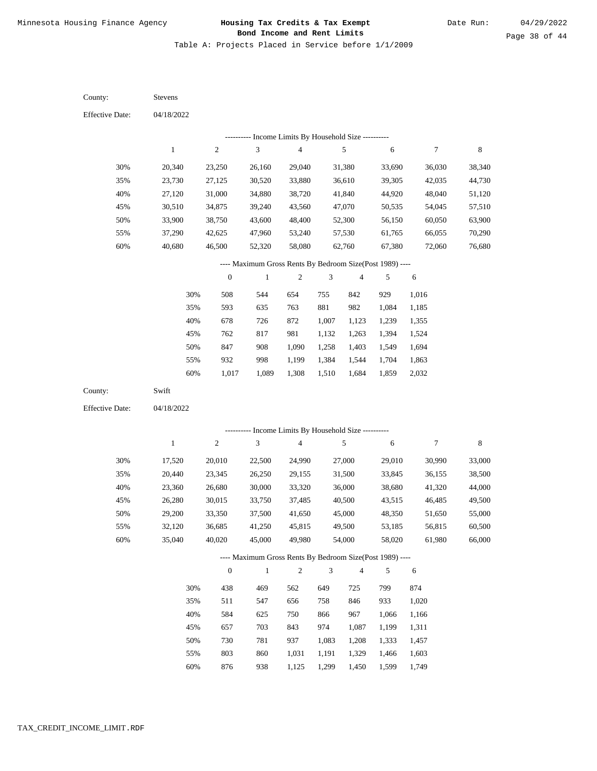Table A: Projects Placed in Service before 1/1/2009

04/18/2022 04/18/2022 Stevens Swift 30% 35% 40% 45% 50% 55% 60% 30% 35% 40% 45% 50% 55% 60% 20,340 23,730 27,120 30,510 33,900 37,290 40,680 17,520 20,440 23,360 26,280 29,200 32,120 35,040 23,250 27,125 31,000 34,875 38,750 42,625 46,500 20,010 23,345 26,680 30,015 33,350 36,685 40,020 26,160 30,520 34,880 39,240 43,600 47,960 52,320 22,500 26,250 30,000 33,750 37,500 41,250 45,000 29,040 33,880 38,720 43,560 48,400 53,240 58,080 24,990 29,155 33,320 37,485 41,650 45,815 49,980 31,380 36,610 41,840 47,070 52,300 57,530 62,760 27,000 31,500 36,000 40,500 45,000 49,500 54,000 33,690 39,305 44,920 50,535 56,150 61,765 67,380 29,010 33,845 38,680 43,515 48,350 53,185 58,020 36,030 42,035 48,040 54,045 60,050 66,055 72,060 30,990 36,155 41,320 46,485 51,650 56,815 61,980 38,340 44,730 51,120 57,510 63,900 70,290 76,680 33,000 38,500 44,000 49,500 55,000 60,500 66,000 508 593 678 762 847 932 1,017 438 511 584 657 730 803 876 544 635 726 817 908 998 1,089 469 547 625 703 781 860 938 654 763 872 981 1,090 1,199 1,308 562 656 750 843 937 1,031 1,125 755 881 1,007 1,132 1,258 1,384 1,510 649 758 866 974 1,083 1,191 1,299 842 982 1,123 1,263 1,403 1,544 1,684 725 846 967 1,087 1,208 1,329 1,450 929 1,084 1,239 1,394 1,549 1,704 1,859 799 933 1,066 1,199 1,333 1,466 1,599 1,016 1,185 1,355 1,524 1,694 1,863 2,032 874 1,020 1,166 1,311 1,457 1,603 1,749 County: County: Effective Date: Effective Date: 1 1 2 2 3 3 4 4 5 5 6 6 7 7 8 8 0 0 1 1 2 2 3 3 4 4 5 5 6 6 ---------- Income Limits By Household Size ---------- ---------- Income Limits By Household Size ---------- ---- Maximum Gross Rents By Bedroom Size(Post 1989) ---- ---- Maximum Gross Rents By Bedroom Size(Post 1989) ---- 30% 35% 40% 45% 50% 55% 60% 30% 35% 40% 45% 50% 55% 60%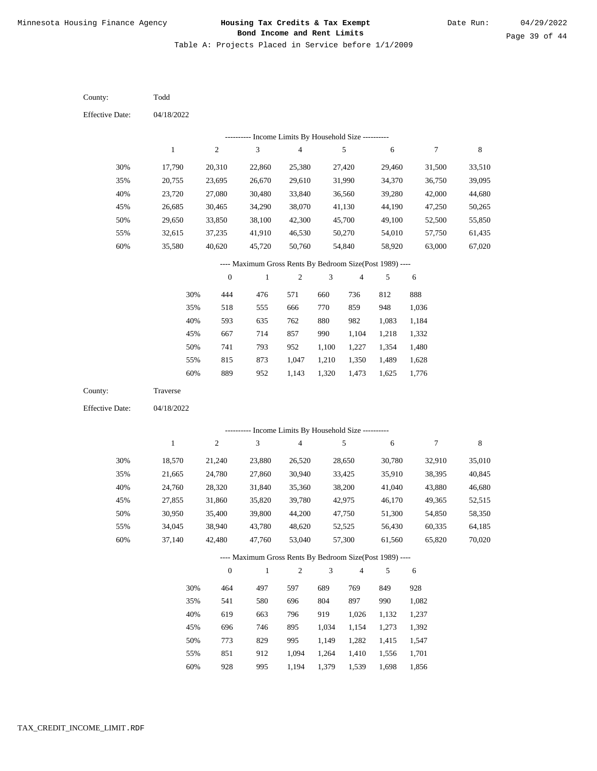Table A: Projects Placed in Service before 1/1/2009

| County:                | Todd         |                  |                                                                     |                         |               |                |        |            |             |
|------------------------|--------------|------------------|---------------------------------------------------------------------|-------------------------|---------------|----------------|--------|------------|-------------|
| <b>Effective Date:</b> | 04/18/2022   |                  |                                                                     |                         |               |                |        |            |             |
|                        |              |                  | --------- Income Limits By Household Size ----------                |                         |               |                |        |            |             |
|                        | $\mathbf{1}$ | $\sqrt{2}$       | 3                                                                   | 4                       |               | 5              | 6      | $\tau$     | $\,$ 8 $\,$ |
| 30%                    | 17,790       | 20,310           | 22,860                                                              | 25,380                  |               | 27,420         | 29,460 | 31,500     | 33,510      |
| 35%                    | 20,755       | 23,695           | 26,670                                                              | 29,610                  |               | 31,990         | 34,370 | 36,750     | 39,095      |
| 40%                    | 23,720       | 27,080           | 30,480                                                              | 33,840                  |               | 36,560         | 39,280 | 42,000     | 44,680      |
| 45%                    | 26,685       | 30,465           | 34,290                                                              | 38,070                  |               | 41,130         | 44,190 | 47,250     | 50,265      |
| 50%                    | 29,650       | 33,850           | 38,100                                                              | 42,300                  |               | 45,700         | 49,100 | 52,500     | 55,850      |
| 55%                    | 32,615       | 37,235           | 41,910                                                              | 46,530                  |               | 50,270         | 54,010 | 57,750     | 61,435      |
| 60%                    | 35,580       | 40,620           | 45,720                                                              | 50,760                  |               | 54,840         | 58,920 | 63,000     | 67,020      |
|                        |              |                  | ---- Maximum Gross Rents By Bedroom Size(Post 1989) ----            |                         |               |                |        |            |             |
|                        |              | $\boldsymbol{0}$ | $\mathbf{1}$                                                        | $\boldsymbol{2}$        | 3             | $\overline{4}$ | 5      | 6          |             |
|                        | 30%          | 444              | 476                                                                 | 571                     | 660           | 736            | 812    | 888        |             |
|                        | 35%          | 518              | 555                                                                 | 666                     | 770           | 859            | 948    | 1,036      |             |
|                        | 40%          | 593              | 635                                                                 | 762                     | 880           | 982            | 1,083  | 1,184      |             |
|                        | 45%          | 667              | 714                                                                 | 857                     | 990           | 1,104          | 1,218  | 1,332      |             |
|                        | 50%          | 741              | 793                                                                 | 952                     | 1,100         | 1,227          | 1,354  | 1,480      |             |
|                        | 55%          | 815              | 873                                                                 | 1,047                   | 1,210         | 1,350          | 1,489  | 1,628      |             |
|                        | 60%          | 889              | 952                                                                 | 1,143                   | 1,320         | 1,473          | 1,625  | 1,776      |             |
| County:                | Traverse     |                  |                                                                     |                         |               |                |        |            |             |
| <b>Effective Date:</b> | 04/18/2022   |                  |                                                                     |                         |               |                |        |            |             |
|                        |              |                  | --------- Income Limits By Household Size ----------                |                         |               |                |        |            |             |
|                        | $\mathbf{1}$ | $\sqrt{2}$       | 3                                                                   | $\overline{\mathbf{4}}$ |               | 5              | 6      | $\tau$     | 8           |
|                        |              |                  |                                                                     |                         |               |                |        |            |             |
| 30%                    | 18,570       | 21,240           | 23,880                                                              | 26,520                  |               | 28,650         | 30,780 | 32,910     | 35,010      |
| 35%                    | 21,665       | 24,780           | 27,860                                                              | 30,940                  |               | 33,425         | 35,910 | 38,395     | 40,845      |
| 40%                    | 24,760       | 28,320           | 31,840                                                              | 35,360                  |               | 38,200         | 41,040 | 43,880     | 46,680      |
| 45%                    | 27,855       | 31,860           | 35,820                                                              | 39,780                  |               | 42,975         | 46,170 | 49,365     | 52,515      |
| 50%                    | 30,950       | 35,400           | 39,800                                                              | 44,200                  |               | 47,750         | 51,300 | 54,850     | 58,350      |
| 55%                    | 34,045       | 38,940           | 43,780<br>47,760                                                    | 48,620                  |               | 52,525         | 56,430 | 60,335     | 64,185      |
| 60%                    | 37,140       | 42,480           |                                                                     | 53,040                  |               | 57,300         | 61,560 | 65,820     | 70,020      |
|                        |              | $\boldsymbol{0}$ | ---- Maximum Gross Rents By Bedroom Size(Post 1989) ----<br>$\,1\,$ | $\overline{c}$          | $\mathfrak z$ | $\overline{4}$ | 5      | $\sqrt{6}$ |             |
|                        |              |                  |                                                                     |                         |               |                |        |            |             |
|                        | 30%          | 464              | 497                                                                 | 597                     | 689           | 769            | 849    | 928        |             |
|                        | 35%          | 541              | 580                                                                 | 696                     | 804           | 897            | 990    | 1,082      |             |
|                        | 40%          | 619              | 663                                                                 | 796                     | 919           | 1,026          | 1,132  | 1,237      |             |
|                        | 45%          | 696              | 746                                                                 | 895                     | 1,034         | 1,154          | 1,273  | 1,392      |             |
|                        | 50%          | 773              | 829                                                                 | 995                     | 1,149         | 1,282          | 1,415  | 1,547      |             |
|                        | 55%          | 851              | 912                                                                 | 1,094                   | 1,264         | 1,410          | 1,556  | 1,701      |             |
|                        | $60\%$       | 928              | 995                                                                 | 1,194                   | 1,379         | 1,539          | 1,698  | 1,856      |             |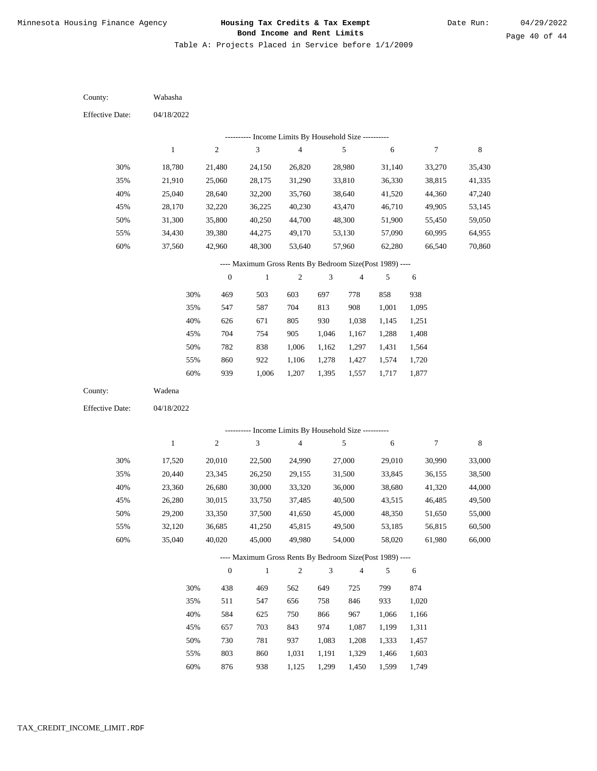Table A: Projects Placed in Service before 1/1/2009

04/18/2022 04/18/2022 Wabasha Wadena 30% 35% 40% 45% 50% 55% 60% 30% 35% 40% 45% 50% 55% 60% 18,780 21,910 25,040 28,170 31,300 34,430 37,560 17,520 20,440 23,360 26,280 29,200 32,120 35,040 21,480 25,060 28,640 32,220 35,800 39,380 42,960 20,010 23,345 26,680 30,015 33,350 36,685 40,020 24,150 28,175 32,200 36,225 40,250 44,275 48,300 22,500 26,250 30,000 33,750 37,500 41,250 45,000 26,820 31,290 35,760 40,230 44,700 49,170 53,640 24,990 29,155 33,320 37,485 41,650 45,815 49,980 28,980 33,810 38,640 43,470 48,300 53,130 57,960 27,000 31,500 36,000 40,500 45,000 49,500 54,000 31,140 36,330 41,520 46,710 51,900 57,090 62,280 29,010 33,845 38,680 43,515 48,350 53,185 58,020 33,270 38,815 44,360 49,905 55,450 60,995 66,540 30,990 36,155 41,320 46,485 51,650 56,815 61,980 35,430 41,335 47,240 53,145 59,050 64,955 70,860 33,000 38,500 44,000 49,500 55,000 60,500 66,000 469 547 626 704 782 860 939 438 511 584 657 730 803 876 503 587 671 754 838 922 1,006 469 547 625 703 781 860 938 603 704 805 905 1,006 1,106 1,207 562 656 750 843 937 1,031 1,125 697 813 930 1,046 1,162 1,278 1,395 649 758 866 974 1,083 1,191 1,299 778 908 1,038 1,167 1,297 1,427 1,557 725 846 967 1,087 1,208 1,329 1,450 858 1,001 1,145 1,288 1,431 1,574 1,717 799 933 1,066 1,199 1,333 1,466 1,599 938 1,095 1,251 1,408 1,564 1,720 1,877 874 1,020 1,166 1,311 1,457 1,603 1,749 County: County: Effective Date: Effective Date: 1 1 2 2 3 3 4 4 5 5 6 6 7 7 8 8 0 0 1 1 2 2 3 3 4 4 5 5 6 6 ---------- Income Limits By Household Size ---------- ---------- Income Limits By Household Size ---------- ---- Maximum Gross Rents By Bedroom Size(Post 1989) ---- ---- Maximum Gross Rents By Bedroom Size(Post 1989) ---- 30% 35% 40% 45% 50% 55% 60% 30% 35% 40% 45% 50% 55% 60%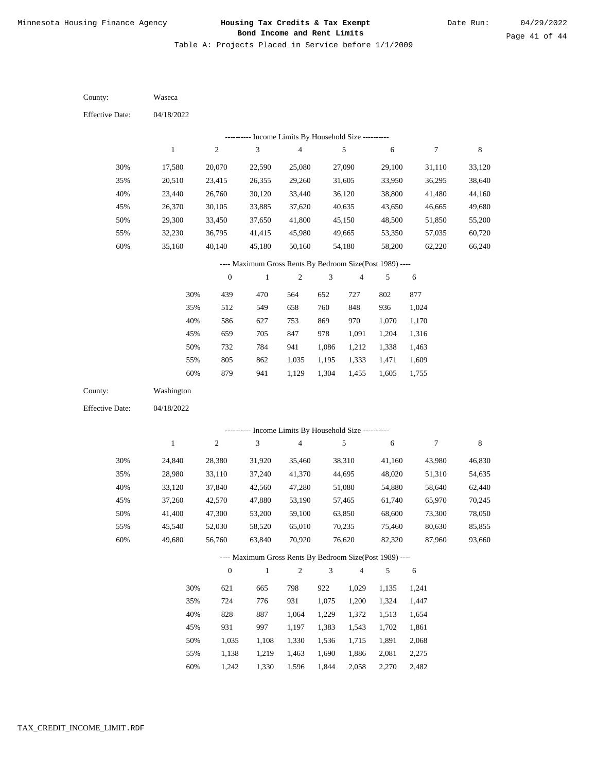Table A: Projects Placed in Service before 1/1/2009

| County:                | Waseca       |                  |                                                                          |                                            |                |                         |                |                |                  |
|------------------------|--------------|------------------|--------------------------------------------------------------------------|--------------------------------------------|----------------|-------------------------|----------------|----------------|------------------|
| <b>Effective Date:</b> | 04/18/2022   |                  |                                                                          |                                            |                |                         |                |                |                  |
|                        |              |                  | --------- Income Limits By Household Size ----------                     |                                            |                |                         |                |                |                  |
|                        | $\mathbf{1}$ | $\boldsymbol{2}$ | 3                                                                        | $\overline{4}$                             |                | 5                       | 6              | 7              | 8                |
| 30%                    | 17,580       | 20,070           | 22,590                                                                   | 25,080                                     |                | 27,090                  | 29,100         | 31,110         | 33,120           |
| 35%                    | 20,510       | 23,415           | 26,355                                                                   | 29,260                                     |                | 31,605                  | 33,950         | 36,295         | 38,640           |
| 40%                    | 23,440       | 26,760           | 30,120                                                                   | 33,440                                     |                | 36,120                  | 38,800         | 41,480         | 44,160           |
| 45%                    | 26,370       | 30,105           | 33,885                                                                   | 37,620                                     |                | 40,635                  | 43,650         | 46,665         | 49,680           |
| 50%                    | 29,300       | 33,450           | 37,650                                                                   | 41,800                                     |                | 45,150                  | 48,500         | 51,850         | 55,200           |
| 55%                    | 32,230       | 36,795           | 41,415                                                                   | 45,980                                     |                | 49,665                  | 53,350         | 57,035         | 60,720           |
| 60%                    | 35,160       | 40,140           | 45,180                                                                   | 50,160                                     |                | 54,180                  | 58,200         | 62,220         | 66,240           |
|                        |              |                  | ---- Maximum Gross Rents By Bedroom Size(Post 1989) ----                 |                                            |                |                         |                |                |                  |
|                        |              | $\boldsymbol{0}$ | $\mathbf{1}$                                                             | $\boldsymbol{2}$                           | 3              | $\overline{4}$          | 5              | 6              |                  |
|                        | 30%          | 439              | 470                                                                      | 564                                        | 652            | 727                     | 802            | 877            |                  |
|                        | 35%          | 512              | 549                                                                      | 658                                        | 760            | 848                     | 936            | 1,024          |                  |
|                        | 40%          | 586              | 627                                                                      | 753                                        | 869            | 970                     | 1,070          | 1,170          |                  |
|                        | 45%          | 659              | 705                                                                      | 847                                        | 978            | 1,091                   | 1,204          | 1,316          |                  |
|                        | 50%          | 732              | 784                                                                      | 941                                        | 1,086          | 1,212                   | 1,338          | 1,463          |                  |
|                        | 55%          | 805              | 862                                                                      | 1,035                                      | 1,195          | 1,333                   | 1,471          | 1,609          |                  |
|                        | 60%          | 879              | 941                                                                      | 1,129                                      | 1,304          | 1,455                   | 1,605          | 1,755          |                  |
|                        |              |                  |                                                                          |                                            |                |                         |                |                |                  |
| County:                | Washington   |                  |                                                                          |                                            |                |                         |                |                |                  |
| <b>Effective Date:</b> | 04/18/2022   |                  |                                                                          |                                            |                |                         |                |                |                  |
|                        |              |                  |                                                                          |                                            |                |                         |                |                |                  |
|                        |              | ----------       |                                                                          | Income Limits By Household Size ---------- |                |                         |                |                |                  |
|                        | $\mathbf{1}$ | $\boldsymbol{2}$ | $\mathfrak{Z}$                                                           | $\sqrt{4}$                                 |                | 5                       | 6              | 7              | $\,$ 8 $\,$      |
| 30%                    | 24,840       | 28,380           | 31,920                                                                   | 35,460                                     |                | 38,310                  | 41,160         | 43,980         | 46,830           |
| 35%                    | 28,980       | 33,110           | 37,240                                                                   | 41,370                                     |                | 44,695                  | 48,020         | 51,310         | 54,635           |
| 40%                    | 33,120       | 37,840           | 42,560                                                                   | 47,280                                     |                | 51,080                  | 54,880         | 58,640         | 62,440           |
| 45%                    | 37,260       | 42,570           | 47,880                                                                   | 53,190                                     |                | 57,465                  | 61,740         | 65,970         | 70,245           |
| 50%                    | 41,400       | 47,300           | 53,200                                                                   | 59,100                                     |                | 63,850                  | 68,600         | 73,300         | 78,050           |
| 55%                    | 45,540       | 52,030           | 58,520                                                                   | 65,010                                     |                | 70,235                  | 75,460         | 80,630         | 85,855<br>93,660 |
| 60%                    | 49,680       | 56,760           | 63,840                                                                   | 70,920                                     |                | 76,620                  | 82,320         | 87,960         |                  |
|                        |              | $\boldsymbol{0}$ | ---- Maximum Gross Rents By Bedroom Size(Post 1989) ----<br>$\mathbf{1}$ | $\overline{c}$                             | $\mathfrak{Z}$ | $\overline{\mathbf{4}}$ | 5              |                |                  |
|                        |              |                  |                                                                          |                                            |                |                         |                | $\sqrt{6}$     |                  |
|                        | 30%          | 621              | 665                                                                      | 798                                        | 922            | 1,029                   | 1,135          | 1,241          |                  |
|                        | 35%          | 724              | 776                                                                      | 931                                        | 1,075          | 1,200                   | 1,324          | 1,447          |                  |
|                        | 40%          | 828              | 887                                                                      | 1,064                                      | 1,229          | 1,372                   | 1,513          | 1,654          |                  |
|                        | 45%<br>50%   | 931<br>1,035     | 997<br>1,108                                                             | 1,197<br>1,330                             | 1,383<br>1,536 | 1,543                   | 1,702          | 1,861          |                  |
|                        | 55%          | 1,138            | 1,219                                                                    | 1,463                                      | 1,690          | 1,715<br>1,886          | 1,891<br>2,081 | 2,068<br>2,275 |                  |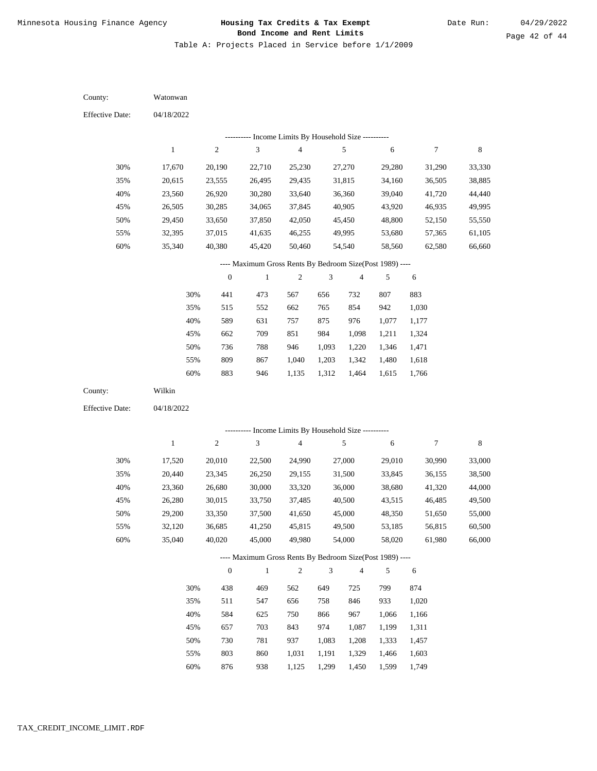Table A: Projects Placed in Service before 1/1/2009

| County:                | Watonwan         |                  |                                                                          |                         |                |                  |                  |                  |                  |
|------------------------|------------------|------------------|--------------------------------------------------------------------------|-------------------------|----------------|------------------|------------------|------------------|------------------|
| <b>Effective Date:</b> | 04/18/2022       |                  |                                                                          |                         |                |                  |                  |                  |                  |
|                        |                  |                  | ---------- Income Limits By Household Size ----------                    |                         |                |                  |                  |                  |                  |
|                        | $\mathbf{1}$     | $\overline{c}$   | $\ensuremath{\mathfrak{Z}}$                                              | $\overline{\mathbf{4}}$ |                | 5                | $\sqrt{6}$       | $\boldsymbol{7}$ | 8                |
| 30%                    | 17,670           | 20,190           | 22,710                                                                   | 25,230                  |                | 27,270           | 29,280           | 31,290           | 33,330           |
| 35%                    | 20,615           | 23,555           | 26,495                                                                   | 29,435                  |                | 31,815           | 34,160           | 36,505           | 38,885           |
| 40%                    | 23,560           | 26,920           | 30,280                                                                   | 33,640                  |                | 36,360           | 39,040           | 41,720           | 44,440           |
| 45%                    | 26,505           | 30,285           | 34,065                                                                   | 37,845                  |                | 40,905           | 43,920           | 46,935           | 49,995           |
| 50%                    | 29,450           | 33,650           | 37,850                                                                   | 42,050                  |                | 45,450           | 48,800           | 52,150           | 55,550           |
| 55%                    | 32,395           | 37,015           | 41,635                                                                   | 46,255                  |                | 49,995           | 53,680           | 57,365           | 61,105           |
| 60%                    | 35,340           | 40,380           | 45,420                                                                   | 50,460                  |                | 54,540           | 58,560           | 62,580           | 66,660           |
|                        |                  |                  | ---- Maximum Gross Rents By Bedroom Size(Post 1989) ----                 |                         |                |                  |                  |                  |                  |
|                        |                  | $\mathbf{0}$     | $\,1$                                                                    | $\boldsymbol{2}$        | 3              | $\overline{4}$   | 5                | 6                |                  |
|                        | 30%              | 441              | 473                                                                      | 567                     | 656            | 732              | 807              | 883              |                  |
|                        | 35%              | 515              | 552                                                                      | 662                     | 765            | 854              | 942              | 1,030            |                  |
|                        | 40%              | 589              | 631                                                                      | 757                     | 875            | 976              | 1,077            | 1,177            |                  |
|                        | 45%              | 662              | 709                                                                      | 851                     | 984            | 1,098            | 1,211            | 1,324            |                  |
|                        | 50%              | 736              | 788                                                                      | 946                     | 1,093          | 1,220            | 1,346            | 1,471            |                  |
|                        | 55%              | 809              | 867                                                                      | 1,040                   | 1,203          | 1,342            | 1,480            | 1,618            |                  |
|                        | 60%              | 883              | 946                                                                      | 1,135                   | 1,312          | 1,464            | 1,615            | 1,766            |                  |
| County:                | Wilkin           |                  |                                                                          |                         |                |                  |                  |                  |                  |
| <b>Effective Date:</b> | 04/18/2022       |                  |                                                                          |                         |                |                  |                  |                  |                  |
|                        |                  |                  |                                                                          |                         |                |                  |                  |                  |                  |
|                        | $\mathbf{1}$     | $\overline{c}$   | --------- Income Limits By Household Size ----------<br>$\mathfrak{Z}$   | $\overline{\mathbf{4}}$ |                | 5                | 6                | $\boldsymbol{7}$ | 8                |
|                        |                  |                  |                                                                          |                         |                |                  |                  |                  |                  |
| 30%                    | 17,520           | 20,010           | 22,500                                                                   | 24,990                  |                | 27,000           | 29,010           | 30,990           | 33,000           |
| 35%                    | 20,440           | 23,345           | 26,250                                                                   | 29,155                  |                | 31,500           | 33,845           | 36,155           | 38,500           |
| 40%                    | 23,360           | 26,680           | 30,000                                                                   | 33,320                  |                | 36,000           | 38,680           | 41,320           | 44,000           |
| 45%<br>50%             | 26,280           | 30,015           | 33,750                                                                   | 37,485<br>41,650        |                | 40,500           | 43,515           | 46,485           | 49,500           |
|                        | 29,200           | 33,350           | 37,500<br>41,250                                                         |                         |                | 45,000           | 48,350<br>53,185 | 51,650           | 55,000           |
| 55%<br>60%             | 32,120<br>35,040 | 36,685<br>40,020 | 45,000                                                                   | 45,815<br>49,980        |                | 49,500<br>54,000 | 58,020           | 56,815<br>61,980 | 60,500<br>66,000 |
|                        |                  |                  |                                                                          |                         |                |                  |                  |                  |                  |
|                        |                  | $\boldsymbol{0}$ | ---- Maximum Gross Rents By Bedroom Size(Post 1989) ----<br>$\mathbf{1}$ | $\sqrt{2}$              | $\mathfrak{Z}$ | $\overline{4}$   | 5                |                  |                  |
|                        |                  |                  |                                                                          |                         |                |                  |                  | $\sqrt{6}$       |                  |
|                        | 30%              | 438              | 469                                                                      | 562                     | 649            | 725              | 799              | 874              |                  |
|                        | 35%              | 511              | 547                                                                      | 656                     | 758            | 846              | 933              | 1,020            |                  |
|                        | 40%              | 584              | 625                                                                      | 750                     | 866            | 967              | 1,066            | 1,166            |                  |
|                        | 45%              | 657              | 703                                                                      | 843                     | 974            | 1,087            | 1,199            | 1,311            |                  |
|                        | 50%              | 730              | 781                                                                      | 937                     | 1,083          | 1,208            | 1,333            | 1,457            |                  |
|                        | 55%              | 803              | 860                                                                      | 1,031                   | 1,191          | 1,329            | 1,466            | 1,603            |                  |

876 938 1,125 1,299 1,450 1,599 1,749 60%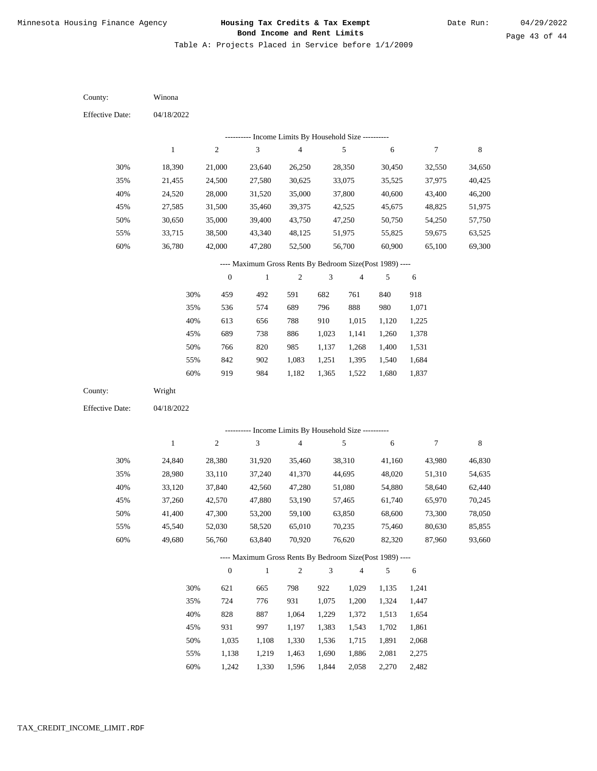Table A: Projects Placed in Service before 1/1/2009

| County:                | Winona           |                  |                                                                          |                                            |                |                          |                  |                  |                  |
|------------------------|------------------|------------------|--------------------------------------------------------------------------|--------------------------------------------|----------------|--------------------------|------------------|------------------|------------------|
| <b>Effective Date:</b> | 04/18/2022       |                  |                                                                          |                                            |                |                          |                  |                  |                  |
|                        |                  |                  | --------- Income Limits By Household Size ----------                     |                                            |                |                          |                  |                  |                  |
|                        | $\mathbf{1}$     | $\sqrt{2}$       | 3                                                                        | 4                                          |                | 5                        | 6                | 7                | 8                |
| 30%                    | 18,390           | 21,000           | 23,640                                                                   | 26,250                                     |                | 28,350                   | 30,450           | 32,550           | 34,650           |
| 35%                    | 21,455           | 24,500           | 27,580                                                                   | 30,625                                     |                | 33,075                   | 35,525           | 37,975           | 40,425           |
| 40%                    | 24,520           | 28,000           | 31,520                                                                   | 35,000                                     |                | 37,800                   | 40,600           | 43,400           | 46,200           |
| 45%                    | 27,585           | 31,500           | 35,460                                                                   | 39,375                                     |                | 42,525                   | 45,675           | 48,825           | 51,975           |
| 50%                    | 30,650           | 35,000           | 39,400                                                                   | 43,750                                     |                | 47,250                   | 50,750           | 54,250           | 57,750           |
| 55%                    | 33,715           | 38,500           | 43,340                                                                   | 48,125                                     |                | 51,975                   | 55,825           | 59,675           | 63,525           |
| 60%                    | 36,780           | 42,000           | 47,280                                                                   | 52,500                                     |                | 56,700                   | 60,900           | 65,100           | 69,300           |
|                        |                  |                  | ---- Maximum Gross Rents By Bedroom Size(Post 1989) ----                 |                                            |                |                          |                  |                  |                  |
|                        |                  | $\boldsymbol{0}$ | $\mathbf{1}$                                                             | $\boldsymbol{2}$                           | 3              | $\overline{\mathcal{A}}$ | 5                | 6                |                  |
|                        | 30%              | 459              | 492                                                                      | 591                                        | 682            | 761                      | 840              | 918              |                  |
|                        | 35%              | 536              | 574                                                                      | 689                                        | 796            | 888                      | 980              | 1,071            |                  |
|                        | 40%              | 613              | 656                                                                      | 788                                        | 910            | 1,015                    | 1,120            | 1,225            |                  |
|                        | 45%              | 689              | 738                                                                      | 886                                        | 1,023          | 1,141                    | 1,260            | 1,378            |                  |
|                        | 50%              | 766              | 820                                                                      | 985                                        | 1,137          | 1,268                    | 1,400            | 1,531            |                  |
|                        | 55%              | 842              | 902                                                                      | 1,083                                      | 1,251          | 1,395                    | 1,540            | 1,684            |                  |
|                        | 60%              | 919              | 984                                                                      | 1,182                                      | 1,365          | 1,522                    | 1,680            | 1,837            |                  |
| County:                | Wright           |                  |                                                                          |                                            |                |                          |                  |                  |                  |
| <b>Effective Date:</b> | 04/18/2022       |                  |                                                                          |                                            |                |                          |                  |                  |                  |
|                        |                  | ----------       |                                                                          | Income Limits By Household Size ---------- |                |                          |                  |                  |                  |
|                        | $\mathbf{1}$     | $\sqrt{2}$       | 3                                                                        | $\overline{\mathbf{4}}$                    |                | 5                        | 6                | 7                | 8                |
|                        |                  |                  |                                                                          |                                            |                |                          |                  |                  |                  |
| 30%                    | 24,840           | 28,380           | 31,920                                                                   | 35,460                                     |                | 38,310                   | 41,160           | 43,980           | 46,830           |
| 35%                    | 28,980           | 33,110           | 37,240                                                                   | 41,370                                     |                | 44,695                   | 48,020           | 51,310           | 54,635           |
| 40%                    | 33,120           | 37,840           | 42,560                                                                   | 47,280                                     |                | 51,080                   | 54,880           | 58,640           | 62,440           |
| 45%                    | 37,260           | 42,570           | 47,880                                                                   | 53,190                                     |                | 57,465                   | 61,740           | 65,970<br>73,300 | 70,245           |
| 50%                    | 41,400<br>45,540 | 47,300           | 53,200                                                                   | 59,100                                     |                | 63,850                   | 68,600           |                  | 78,050           |
| 55%<br>60%             | 49,680           | 52,030<br>56,760 | 58,520<br>63,840                                                         | 65,010<br>70,920                           |                | 70,235<br>76,620         | 75,460<br>82,320 | 80,630<br>87,960 | 85,855<br>93,660 |
|                        |                  |                  |                                                                          |                                            |                |                          |                  |                  |                  |
|                        |                  | $\boldsymbol{0}$ | ---- Maximum Gross Rents By Bedroom Size(Post 1989) ----<br>$\mathbf{1}$ | $\overline{c}$                             | $\mathfrak{Z}$ | $\overline{\mathbf{4}}$  | 5                | $\sqrt{6}$       |                  |
|                        |                  |                  |                                                                          |                                            |                |                          |                  |                  |                  |
|                        | 30%              | 621              | 665                                                                      | 798                                        | 922            | 1,029                    | 1,135            | 1,241            |                  |
|                        | 35%              | 724              | 776                                                                      | 931                                        | 1,075          | 1,200                    | 1,324            | 1,447            |                  |
|                        | 40%              | 828              | 887                                                                      | 1,064                                      | 1,229          | 1,372                    | 1,513            | 1,654            |                  |
|                        | 45%              | 931              | 997                                                                      | 1,197                                      | 1,383          | 1,543                    | 1,702            | 1,861            |                  |
|                        | 50%              | 1,035            | 1,108                                                                    | 1,330                                      | 1,536          | 1,715                    | 1,891            | 2,068            |                  |
|                        | 55%              | 1,138            | 1,219                                                                    | 1,463                                      | 1,690          | 1,886                    | 2,081            | 2,275            |                  |
|                        | 60%              | 1,242            | 1,330                                                                    | 1,596                                      | 1,844          | 2,058                    | 2,270            | 2,482            |                  |